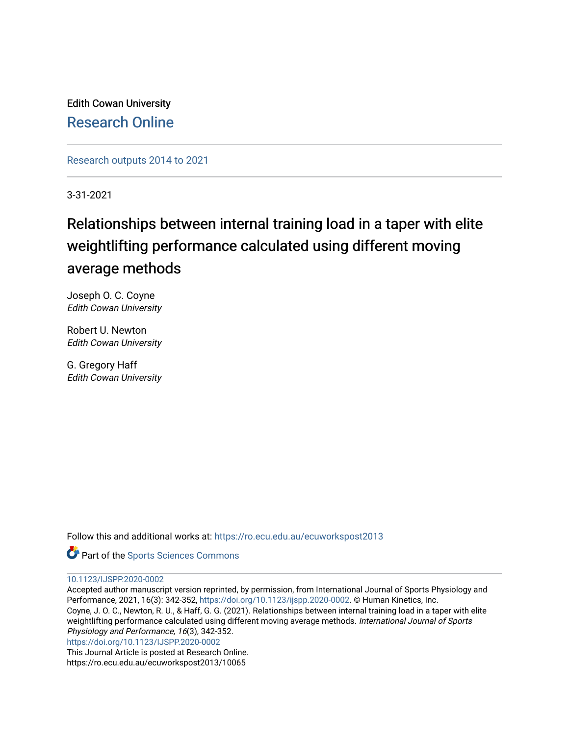Edith Cowan University [Research Online](https://ro.ecu.edu.au/) 

[Research outputs 2014 to 2021](https://ro.ecu.edu.au/ecuworkspost2013) 

3-31-2021

### Relationships between internal training load in a taper with elite weightlifting performance calculated using different moving average methods

Joseph O. C. Coyne Edith Cowan University

Robert U. Newton Edith Cowan University

G. Gregory Haff Edith Cowan University

Follow this and additional works at: [https://ro.ecu.edu.au/ecuworkspost2013](https://ro.ecu.edu.au/ecuworkspost2013?utm_source=ro.ecu.edu.au%2Fecuworkspost2013%2F10065&utm_medium=PDF&utm_campaign=PDFCoverPages) 

**Part of the Sports Sciences Commons** 

[10.1123/IJSPP.2020-0002](http://dx.doi.org/10.1123/IJSPP.2020-0002)

Accepted author manuscript version reprinted, by permission, from International Journal of Sports Physiology and Performance, 2021, 16(3): 342-352, <https://doi.org/10.1123/ijspp.2020-0002>. © Human Kinetics, Inc. Coyne, J. O. C., Newton, R. U., & Haff, G. G. (2021). Relationships between internal training load in a taper with elite weightlifting performance calculated using different moving average methods. International Journal of Sports Physiology and Performance, 16(3), 342-352.

<https://doi.org/10.1123/IJSPP.2020-0002>

This Journal Article is posted at Research Online. https://ro.ecu.edu.au/ecuworkspost2013/10065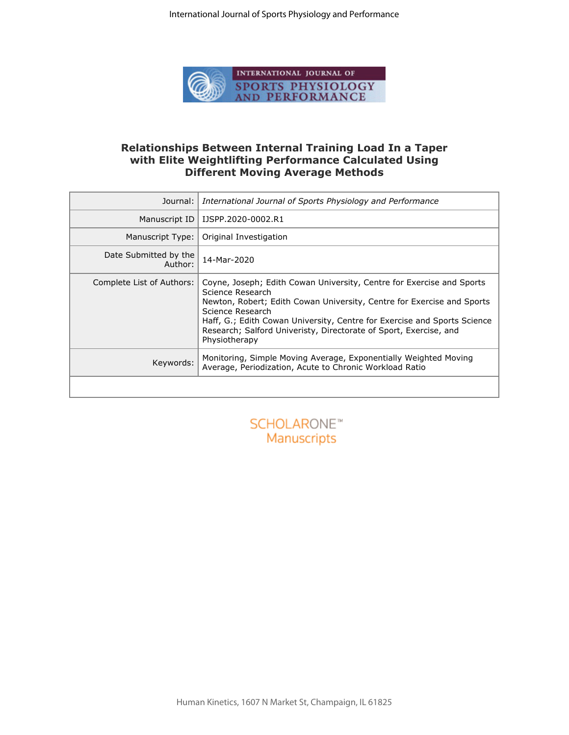

#### **Relationships Between Internal Training Load In a Taper with Elite Weightlifting Performance Calculated Using Different Moving Average Methods**

| Journal:                         | International Journal of Sports Physiology and Performance                                                                                                                                                                                                                                                                                                |
|----------------------------------|-----------------------------------------------------------------------------------------------------------------------------------------------------------------------------------------------------------------------------------------------------------------------------------------------------------------------------------------------------------|
| Manuscript ID                    | IJSPP.2020-0002.R1                                                                                                                                                                                                                                                                                                                                        |
| Manuscript Type:                 | Original Investigation                                                                                                                                                                                                                                                                                                                                    |
| Date Submitted by the<br>Author: | 14-Mar-2020                                                                                                                                                                                                                                                                                                                                               |
| Complete List of Authors:        | Coyne, Joseph; Edith Cowan University, Centre for Exercise and Sports<br>Science Research<br>Newton, Robert; Edith Cowan University, Centre for Exercise and Sports<br>Science Research<br>Haff, G.; Edith Cowan University, Centre for Exercise and Sports Science<br>Research; Salford Univeristy, Directorate of Sport, Exercise, and<br>Physiotherapy |
| Keywords:                        | Monitoring, Simple Moving Average, Exponentially Weighted Moving<br>Average, Periodization, Acute to Chronic Workload Ratio                                                                                                                                                                                                                               |
|                                  |                                                                                                                                                                                                                                                                                                                                                           |
|                                  | SCHOLARONE <sup>*</sup><br>Manuscripts                                                                                                                                                                                                                                                                                                                    |

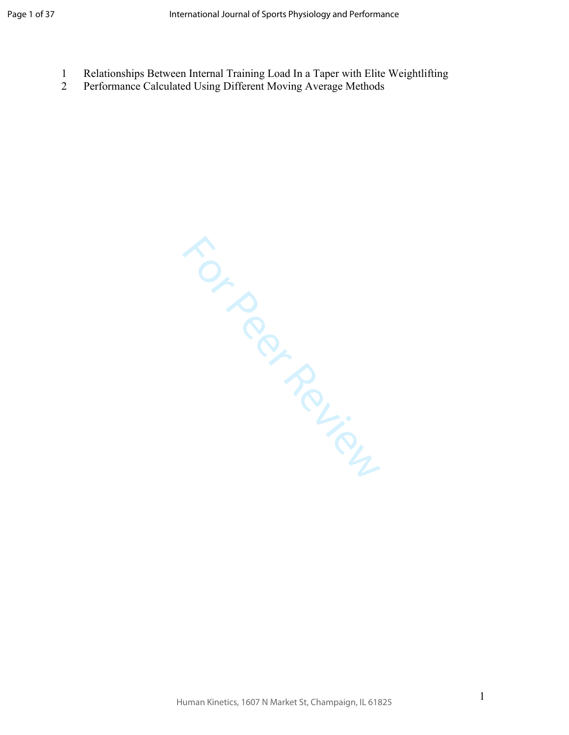- 1 Relationships Between Internal Training Load In a Taper with Elite Weightlifting
- 2 Performance Calculated Using Different Moving Average Methods

For Per Review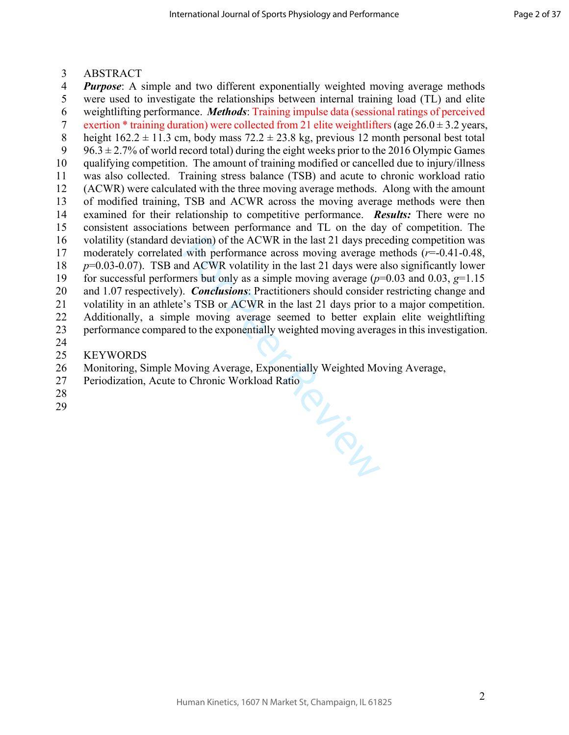#### 3 ABSTRACT

4 *Purpose*: A simple and two different exponentially weighted moving average methods 5 were used to investigate the relationships between internal training load (TL) and elite 6 weightlifting performance. *Methods*: Training impulse data (sessional ratings of perceived 7 exertion  $*$  training duration) were collected from 21 elite weightlifters (age  $26.0 \pm 3.2$  years, 8 height  $162.2 \pm 11.3$  cm, body mass  $72.2 \pm 23.8$  kg, previous 12 month personal best total 9 96.3  $\pm$  2.7% of world record total) during the eight weeks prior to the 2016 Olympic Games 10 qualifying competition. The amount of training modified or cancelled due to injury/illness 11 was also collected. Training stress balance (TSB) and acute to chronic workload ratio 12 (ACWR) were calculated with the three moving average methods. Along with the amount 13 of modified training, TSB and ACWR across the moving average methods were then 14 examined for their relationship to competitive performance. *Results:* There were no 15 consistent associations between performance and TL on the day of competition. The 16 volatility (standard deviation) of the ACWR in the last 21 days preceding competition was 17 moderately correlated with performance across moving average methods (*r*=-0.41-0.48, 18 *p*=0.03-0.07). TSB and ACWR volatility in the last 21 days were also significantly lower 19 for successful performers but only as a simple moving average (*p*=0.03 and 0.03, *g*=1.15 20 and 1.07 respectively). *Conclusions*: Practitioners should consider restricting change and 21 volatility in an athlete's TSB or ACWR in the last 21 days prior to a major competition. 22 Additionally, a simple moving average seemed to better explain elite weightlifting 23 performance compared to the exponentially weighted moving averages in this investigation. 24

- 25 KEYWORDS
- 26 Monitoring, Simple Moving Average, Exponentially Weighted Moving Average,
- Ry. 27 Periodization, Acute to Chronic Workload Ratio
- 28
- 29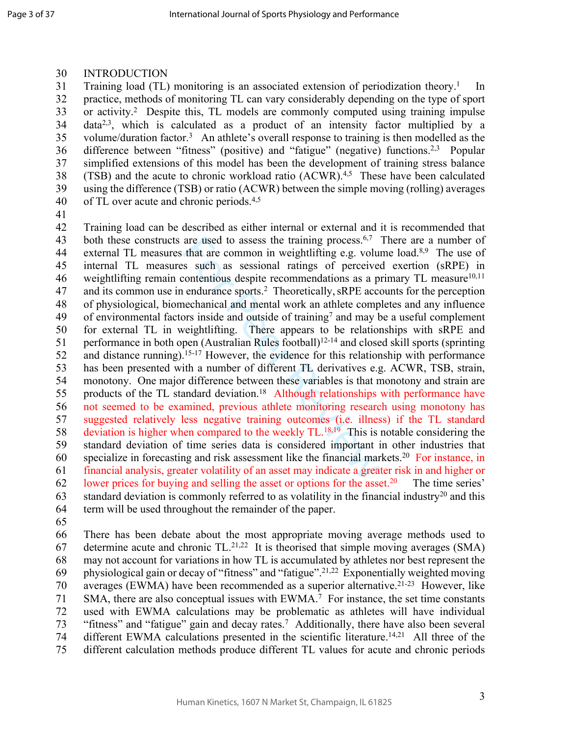30 INTRODUCTION

31 Training load (TL) monitoring is an associated extension of periodization theory. 1 In 32 practice, methods of monitoring TL can vary considerably depending on the type of sport 33 or activity. 2 Despite this, TL models are commonly computed using training impulse 34 data2,3, which is calculated as a product of an intensity factor multiplied by a 35 volume/duration factor.<sup>3</sup> An athlete's overall response to training is then modelled as the 36 difference between "fitness" (positive) and "fatigue" (negative) functions.2,3 Popular 37 simplified extensions of this model has been the development of training stress balance 38 (TSB) and the acute to chronic workload ratio (ACWR).4,5 These have been calculated 39 using the difference (TSB) or ratio (ACWR) between the simple moving (rolling) averages 40 of TL over acute and chronic periods.<sup>4,5</sup>

41

are used to assess the training process.<sup>6,7</sup><br>that are common in weightlifting e.g. volus<br>s such as sessional ratings of perceive<br>contentious despite recommendations as a p<br>endurance sports.<sup>2</sup> Theoretically, sRPE acce<br>ne 42 Training load can be described as either internal or external and it is recommended that 43 both these constructs are used to assess the training process.<sup>6,7</sup> There are a number of 44 external TL measures that are common in weightlifting e.g. volume load.<sup>8,9</sup> The use of 45 internal TL measures such as sessional ratings of perceived exertion (sRPE) in 46 weightlifting remain contentious despite recommendations as a primary TL measure<sup>10,11</sup> 47 and its common use in endurance sports. 2 Theoretically,sRPE accounts for the perception 48 of physiological, biomechanical and mental work an athlete completes and any influence 49 of environmental factors inside and outside of training<sup>7</sup> and may be a useful complement 50 for external TL in weightlifting. There appears to be relationships with sRPE and 51 performance in both open (Australian Rules football)<sup>12-14</sup> and closed skill sports (sprinting 52 and distance running).15-17 However, the evidence for this relationship with performance 53 has been presented with a number of different TL derivatives e.g. ACWR, TSB, strain, 54 monotony. One major difference between these variables is that monotony and strain are 55 products of the TL standard deviation.<sup>18</sup> Although relationships with performance have 56 not seemed to be examined, previous athlete monitoring research using monotony has 57 suggested relatively less negative training outcomes (i.e. illness) if the TL standard 58 deviation is higher when compared to the weekly  $TL^{18,19}$  This is notable considering the 59 standard deviation of time series data is considered important in other industries that 60 specialize in forecasting and risk assessment like the financial markets.<sup>20</sup> For instance, in 61 financial analysis, greater volatility of an asset may indicate a greater risk in and higher or 62 lower prices for buying and selling the asset or options for the asset.<sup>20</sup> The time series' 63 standard deviation is commonly referred to as volatility in the financial industry<sup>20</sup> and this 64 term will be used throughout the remainder of the paper.

65

66 There has been debate about the most appropriate moving average methods used to 67 determine acute and chronic TL.21,22 It is theorised that simple moving averages (SMA) 68 may not account for variations in how TL is accumulated by athletes nor best represent the 69 physiological gain or decay of "fitness" and "fatigue".<sup>21,22</sup> Exponentially weighted moving 70 averages (EWMA) have been recommended as a superior alternative.21-23 However, like 71 SMA, there are also conceptual issues with EWMA. 7 For instance, the set time constants 72 used with EWMA calculations may be problematic as athletes will have individual 73 "fitness" and "fatigue" gain and decay rates. 7 Additionally, there have also been several 74 different EWMA calculations presented in the scientific literature.14,21 All three of the 75 different calculation methods produce different TL values for acute and chronic periods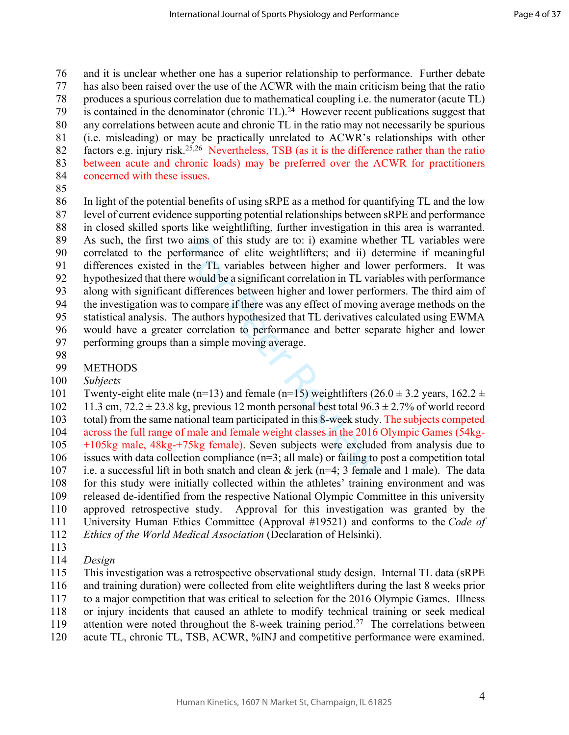76 and it is unclear whether one has a superior relationship to performance. Further debate 77 has also been raised over the use of the ACWR with the main criticism being that the ratio 78 produces a spurious correlation due to mathematical coupling i.e. the numerator (acute TL) 79 is contained in the denominator (chronic TL).<sup>24</sup> However recent publications suggest that 80 any correlations between acute and chronic TL in the ratio may not necessarily be spurious 81 (i.e. misleading) or may be practically unrelated to ACWR's relationships with other 82 factors e.g. injury risk.<sup>25,26</sup> Nevertheless, TSB (as it is the difference rather than the ratio 83 between acute and chronic loads) may be preferred over the ACWR for practitioners 84 concerned with these issues.

85

is aims of this study are to: i) examine whet<br>formance of elite weightlifters; and ii) de<br>the TL variables between higher and low<br>e would be a significant correlation in TL vari<br>differences between higher and lower perfor 86 In light of the potential benefits of using sRPE as a method for quantifying TL and the low 87 level of current evidence supporting potential relationships between sRPE and performance 88 in closed skilled sports like weightlifting, further investigation in this area is warranted. 89 As such, the first two aims of this study are to: i) examine whether TL variables were 90 correlated to the performance of elite weightlifters; and ii) determine if meaningful 91 differences existed in the TL variables between higher and lower performers. It was 92 hypothesized that there would be a significant correlation in TL variables with performance 93 along with significant differences between higher and lower performers. The third aim of 94 the investigation was to compare if there was any effect of moving average methods on the 95 statistical analysis. The authors hypothesized that TL derivatives calculated using EWMA 96 would have a greater correlation to performance and better separate higher and lower 97 performing groups than a simple moving average.

98

99 METHODS

100 *Subjects*

101 Twenty-eight elite male (n=13) and female (n=15) weightlifters (26.0  $\pm$  3.2 years, 162.2  $\pm$ 102 11.3 cm,  $72.2 \pm 23.8$  kg, previous 12 month personal best total  $96.3 \pm 2.7$ % of world record 103 total) from the same national team participated in this 8-week study. The subjects competed 104 across the full range of male and female weight classes in the 2016 Olympic Games (54kg-105 +105kg male, 48kg-+75kg female). Seven subjects were excluded from analysis due to 106 issues with data collection compliance  $(n=3;$  all male) or failing to post a competition total 107 i.e. a successful lift in both snatch and clean  $\&$  jerk (n=4; 3 female and 1 male). The data 108 for this study were initially collected within the athletes' training environment and was 109 released de-identified from the respective National Olympic Committee in this university 110 approved retrospective study. Approval for this investigation was granted by the 111 University Human Ethics Committee (Approval #19521) and conforms to the *Code of*  112 *Ethics of the World Medical Association* (Declaration of Helsinki).

- 113
- 114 *Design*

115 This investigation was a retrospective observational study design. Internal TL data (sRPE 116 and training duration) were collected from elite weightlifters during the last 8 weeks prior 117 to a major competition that was critical to selection for the 2016 Olympic Games. Illness 118 or injury incidents that caused an athlete to modify technical training or seek medical 119 attention were noted throughout the 8-week training period.<sup>27</sup> The correlations between

120 acute TL, chronic TL, TSB, ACWR, %INJ and competitive performance were examined.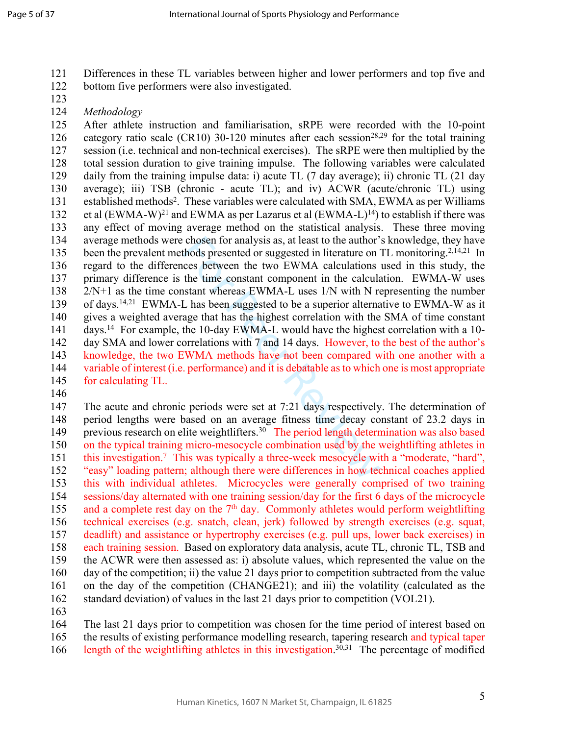121 Differences in these TL variables between higher and lower performers and top five and

- 122 bottom five performers were also investigated.
- 123
- 124 *Methodology*

chosen for analysis as, at least to the author'<br>thods presented or suggested in literature on '<br>ces between the two EWMA calculations<br>the time constant component in the calcula<br>stant whereas EWMA-L uses  $1/N$  with N rd<br>L h 125 After athlete instruction and familiarisation, sRPE were recorded with the 10-point 126 category ratio scale (CR10) 30-120 minutes after each session<sup>28,29</sup> for the total training 127 session (i.e. technical and non-technical exercises). The sRPE were then multiplied by the 128 total session duration to give training impulse. The following variables were calculated 129 daily from the training impulse data: i) acute TL (7 day average); ii) chronic TL (21 day 130 average); iii) TSB (chronic - acute TL); and iv) ACWR (acute/chronic TL) using 131 established methods 2 . These variables were calculated with SMA, EWMA as per Williams 132 et al  $(EWMA-W)^{21}$  and EWMA as per Lazarus et al  $(EWMA-L)^{14}$ ) to establish if there was 133 any effect of moving average method on the statistical analysis. These three moving 134 average methods were chosen for analysis as, at least to the author's knowledge, they have 135 been the prevalent methods presented or suggested in literature on TL monitoring.<sup>2,14,21</sup> In 136 regard to the differences between the two EWMA calculations used in this study, the 137 primary difference is the time constant component in the calculation. EWMA-W uses 138 2/N+1 as the time constant whereas EWMA-L uses 1/N with N representing the number 139 of days.14,21 EWMA-L has been suggested to be a superior alternative to EWMA-W as it 140 gives a weighted average that has the highest correlation with the SMA of time constant 141 days.<sup>14</sup> For example, the 10-day EWMA-L would have the highest correlation with a 10- 142 day SMA and lower correlations with 7 and 14 days. However, to the best of the author's 143 knowledge, the two EWMA methods have not been compared with one another with a 144 variable of interest (i.e. performance) and it is debatable as to which one is most appropriate 145 for calculating TL.

146

147 The acute and chronic periods were set at 7:21 days respectively. The determination of 148 period lengths were based on an average fitness time decay constant of 23.2 days in 149 previous research on elite weightlifters.<sup>30</sup> The period length determination was also based 150 on the typical training micro-mesocycle combination used by the weightlifting athletes in 151 this investigation.<sup>7</sup> This was typically a three-week mesocycle with a "moderate, "hard", 152 "easy" loading pattern; although there were differences in how technical coaches applied 153 this with individual athletes. Microcycles were generally comprised of two training 154 sessions/day alternated with one training session/day for the first 6 days of the microcycle 155 and a complete rest day on the  $7<sup>th</sup>$  day. Commonly athletes would perform weightlifting 156 technical exercises (e.g. snatch, clean, jerk) followed by strength exercises (e.g. squat, 157 deadlift) and assistance or hypertrophy exercises (e.g. pull ups, lower back exercises) in 158 each training session. Based on exploratory data analysis, acute TL, chronic TL, TSB and 159 the ACWR were then assessed as: i) absolute values, which represented the value on the 160 day of the competition; ii) the value 21 days prior to competition subtracted from the value 161 on the day of the competition (CHANGE21); and iii) the volatility (calculated as the 162 standard deviation) of values in the last 21 days prior to competition (VOL21).

163

164 The last 21 days prior to competition was chosen for the time period of interest based on 165 the results of existing performance modelling research, tapering research and typical taper

166 length of the weightlifting athletes in this investigation.<sup>30,31</sup> The percentage of modified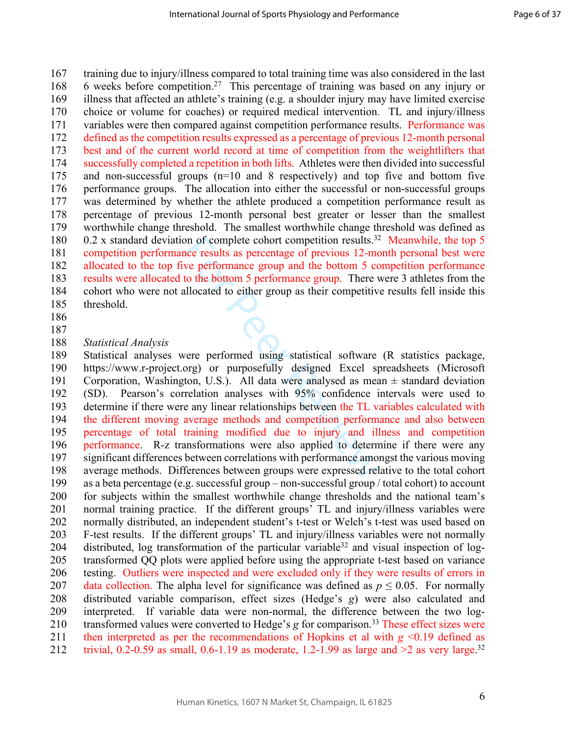167 training due to injury/illness compared to total training time was also considered in the last 168 6 weeks before competition.<sup>27</sup> This percentage of training was based on any injury or 169 illness that affected an athlete's training (e.g. a shoulder injury may have limited exercise 170 choice or volume for coaches) or required medical intervention. TL and injury/illness 171 variables were then compared against competition performance results. Performance was 172 defined as the competition results expressed as a percentage of previous 12-month personal 173 best and of the current world record at time of competition from the weightlifters that 174 successfully completed a repetition in both lifts. Athletes were then divided into successful 175 and non-successful groups (n=10 and 8 respectively) and top five and bottom five 176 performance groups. The allocation into either the successful or non-successful groups 177 was determined by whether the athlete produced a competition performance result as 178 percentage of previous 12-month personal best greater or lesser than the smallest 179 worthwhile change threshold. The smallest worthwhile change threshold was defined as 180 0.2 x standard deviation of complete cohort competition results.<sup>32</sup> Meanwhile, the top 5 181 competition performance results as percentage of previous 12-month personal best were 182 allocated to the top five performance group and the bottom 5 competition performance 183 results were allocated to the bottom 5 performance group. There were 3 athletes from the 184 cohort who were not allocated to either group as their competitive results fell inside this 185 threshold.

186 187

#### 188 *Statistical Analysis*

on of complete cohort competition results.<sup>32</sup><br>nece results as percentage of previous 12-move<br>performance group and the bottom 5 co<br>to the bottom 5 performance group. There v<br>allocated to either group as their competitive<br> 189 Statistical analyses were performed using statistical software (R statistics package, 190 https://www.r-project.org) or purposefully designed Excel spreadsheets (Microsoft 191 Corporation, Washington, U.S.). All data were analysed as mean  $\pm$  standard deviation 192 (SD). Pearson's correlation analyses with 95% confidence intervals were used to 193 determine if there were any linear relationships between the TL variables calculated with 194 the different moving average methods and competition performance and also between 195 percentage of total training modified due to injury and illness and competition 196 performance. R-z transformations were also applied to determine if there were any 197 significant differences between correlations with performance amongst the various moving<br>198 average methods. Differences between groups were expressed relative to the total cohort average methods. Differences between groups were expressed relative to the total cohort 199 as a beta percentage (e.g. successful group – non-successful group / total cohort) to account 200 for subjects within the smallest worthwhile change thresholds and the national team's 201 normal training practice. If the different groups' TL and injury/illness variables were 202 normally distributed, an independent student's t-test or Welch's t-test was used based on 203 F-test results. If the different groups' TL and injury/illness variables were not normally 204 distributed, log transformation of the particular variable  $32$  and visual inspection of log-205 transformed QQ plots were applied before using the appropriate t-test based on variance 206 testing. Outliers were inspected and were excluded only if they were results of errors in 207 data collection. The alpha level for significance was defined as  $p \le 0.05$ . For normally 208 distributed variable comparison, effect sizes (Hedge's *g*) were also calculated and 209 interpreted. If variable data were non-normal, the difference between the two log-210 transformed values were converted to Hedge's *g* for comparison.<sup>33</sup> These effect sizes were 211 then interpreted as per the recommendations of Hopkins et al with  $g \le 0.19$  defined as 212 trivial, 0.2-0.59 as small, 0.6-1.19 as moderate, 1.2-1.99 as large and  $>2$  as very large.<sup>32</sup>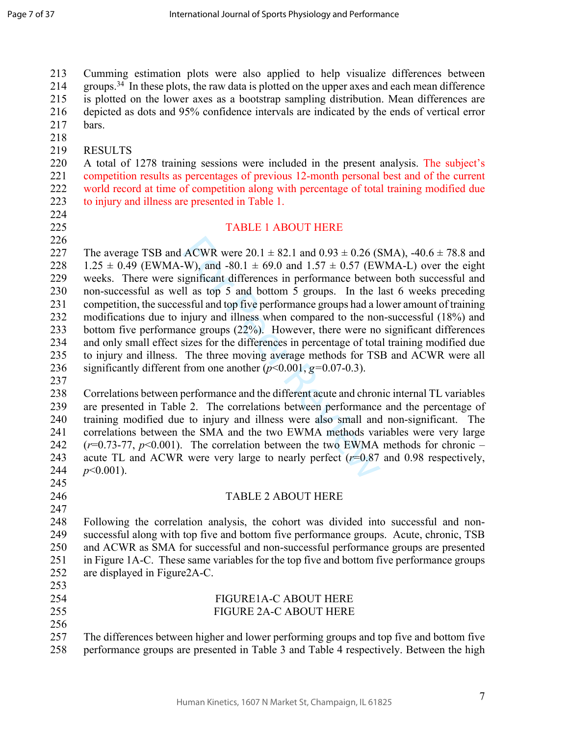213 Cumming estimation plots were also applied to help visualize differences between 214 groups.<sup>34</sup> In these plots, the raw data is plotted on the upper axes and each mean difference 215 is plotted on the lower axes as a bootstrap sampling distribution. Mean differences are 216 depicted as dots and 95% confidence intervals are indicated by the ends of vertical error 217 bars.

218 219 RESULTS

220 A total of 1278 training sessions were included in the present analysis. The subject's competition results as percentages of previous 12-month personal best and of the current world record at time of competition along with percentage of total training modified due to injury and illness are presented in Table 1.

- 224
- 226

#### 225 TABLE 1 ABOUT HERE

ACWR were 20.1 ± 82.1 and 0.93 ± 0.26 (S-W), and -80.1 ± 69.0 and 1.57 ± 0.57 (EW<br>ignificant differences in performance betwe<br>ill as top 5 and bottom 5 groups. In the 1<br>ssful and top five performance groups had a lo<br>injur 227 The average TSB and ACWR were  $20.1 \pm 82.1$  and  $0.93 \pm 0.26$  (SMA), -40.6  $\pm$  78.8 and 228 1.25  $\pm$  0.49 (EWMA-W), and -80.1  $\pm$  69.0 and 1.57  $\pm$  0.57 (EWMA-L) over the eight 229 weeks. There were significant differences in performance between both successful and 230 non-successful as well as top 5 and bottom 5 groups. In the last 6 weeks preceding 231 competition, the successful and top five performance groups had a lower amount of training 232 modifications due to injury and illness when compared to the non-successful (18%) and 233 bottom five performance groups (22%). However, there were no significant differences 234 and only small effect sizes for the differences in percentage of total training modified due 235 to injury and illness. The three moving average methods for TSB and ACWR were all 236 significantly different from one another (*p*<0.001, *g=*0.07-0.3).

237

238 Correlations between performance and the different acute and chronic internal TL variables 239 are presented in Table 2. The correlations between performance and the percentage of 240 training modified due to injury and illness were also small and non-significant. The 241 correlations between the SMA and the two EWMA methods variables were very large 242 (  $r=0.73-77$ ,  $p<0.001$ ). The correlation between the two EWMA methods for chronic – 243 acute TL and ACWR were very large to nearly perfect ( *r*=0.87 and 0.98 respectively, 244 *p*<0.001).

- 245
- 246 TABLE 2 ABOUT HERE
- 247

#### 248 Following the correlation analysis, the cohort was divided into successful and non-249 successful along with top five and bottom five performance groups. Acute, chronic, TSB 250 and ACWR as SMA for successful and non-successful performance groups are presented 251 in Figure 1A-C. These same variables for the top five and bottom five performance groups 252 are displayed in Figure2A-C.

- 253
- 254 FIGURE1A-C ABOUT HERE 255 FIGURE 2A-C ABOUT HERE
- 256

257 The differences between higher and lower performing groups and top five and bottom five 258 performance groups are presented in Table 3 and Table 4 respectively. Between the high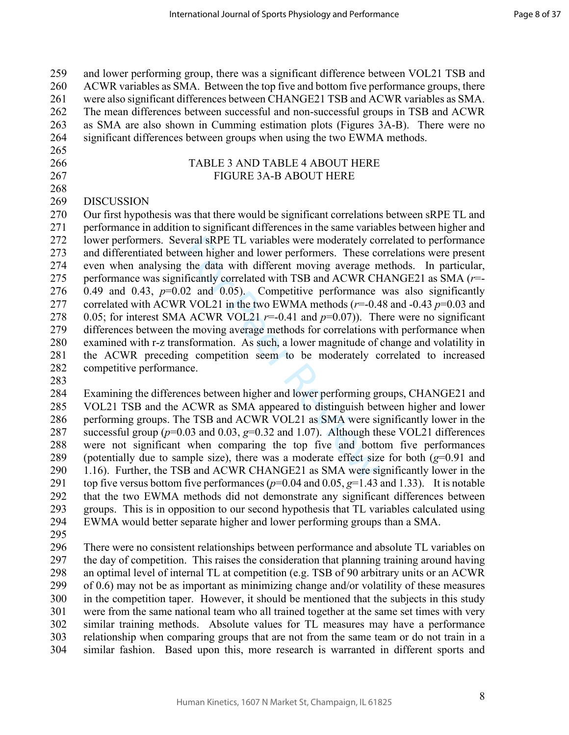259 and lower performing group, there was a significant difference between VOL21 TSB and 260 ACWR variables as SMA. Between the top five and bottom five performance groups, there 261 were also significant differences between CHANGE21 TSB and ACWR variables as SMA. 262 The mean differences between successful and non-successful groups in TSB and ACWR 263 as SMA are also shown in Cumming estimation plots (Figures 3A-B). There were no 264 significant differences between groups when using the two EWMA methods.

- 265
- 

## 268

#### 266 TABLE 3 AND TABLE 4 ABOUT HERE 267 FIGURE 3A-B ABOUT HERE

#### 269 DISCUSSION

veral sRPE TL variables were moderately coveen higher and lower performers. These cc<br>the data with different moving average m<br>ificantly correlated with TSB and ACWR CH<br>22 and 0.05). Competitive performance<br>R VOL21 in the 270 Our first hypothesis was that there would be significant correlations between sRPE TL and 271 performance in addition to significant differences in the same variables between higher and 272 lower performers. Several sRPE TL variables were moderately correlated to performance 273 and differentiated between higher and lower performers. These correlations were present 274 even when analysing the data with different moving average methods. In particular, 275 performance was significantly correlated with TSB and ACWR CHANGE21 as SMA (*r*=- 276 0.49 and 0.43, *p*=0.02 and 0.05). Competitive performance was also significantly 277 correlated with ACWR VOL21 in the two EWMA methods (*r*=-0.48 and -0.43 *p*=0.03 and 278 0.05; for interest SMA ACWR VOL21  $r=0.41$  and  $p=0.07$ ). There were no significant 279 differences between the moving average methods for correlations with performance when 280 examined with r-z transformation. As such, a lower magnitude of change and volatility in 281 the ACWR preceding competition seem to be moderately correlated to increased 282 competitive performance.

283

284 Examining the differences between higher and lower performing groups, CHANGE21 and 285 VOL21 TSB and the ACWR as SMA appeared to distinguish between higher and lower 286 performing groups. The TSB and ACWR VOL21 as SMA were significantly lower in the 287 successful group ( $p=0.03$  and 0.03,  $q=0.32$  and 1.07). Although these VOL21 differences 288 were not significant when comparing the top five and bottom five performances 289 (potentially due to sample size), there was a moderate effect size for both  $(g=0.91$  and 290  $1.16$ ). Further, the TSB and ACWR CHANGE21 as SMA were significantly lower in the 1.16). Further, the TSB and ACWR CHANGE21 as SMA were significantly lower in the 291 top five versus bottom five performances (*p*=0.04 and 0.05, *g*=1.43 and 1.33). It is notable 292 that the two EWMA methods did not demonstrate any significant differences between 293 groups. This is in opposition to our second hypothesis that TL variables calculated using 294 EWMA would better separate higher and lower performing groups than a SMA.

295

296 There were no consistent relationships between performance and absolute TL variables on 297 the day of competition. This raises the consideration that planning training around having 298 an optimal level of internal TL at competition (e.g. TSB of 90 arbitrary units or an ACWR 299 of 0.6) may not be as important as minimizing change and/or volatility of these measures 300 in the competition taper. However, it should be mentioned that the subjects in this study 301 were from the same national team who all trained together at the same set times with very 302 similar training methods. Absolute values for TL measures may have a performance 303 relationship when comparing groups that are not from the same team or do not train in a 304 similar fashion. Based upon this, more research is warranted in different sports and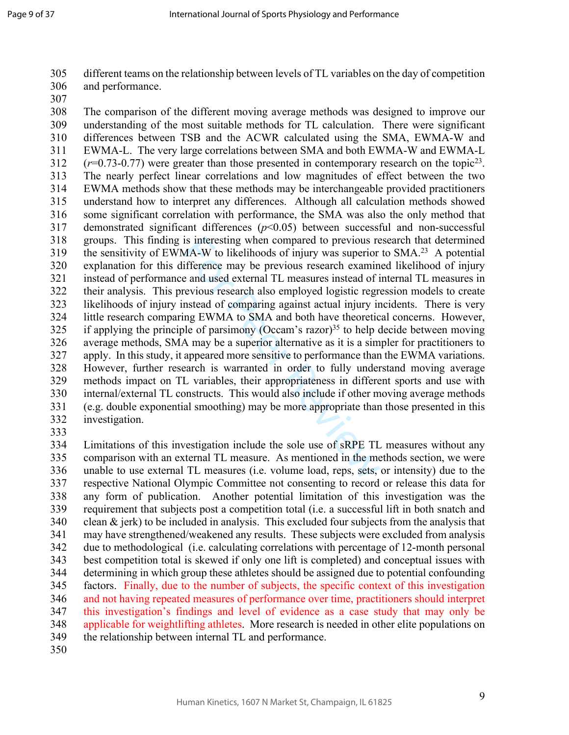305 different teams on the relationship between levels of TL variables on the day of competition 306 and performance.

307

is interesting when compared to previous re<br>MA-W to likelihoods of injury was superior<br>ifference may be previous research examin<br>e and used external TL measures instead of i<br>revious research also employed logistic regre<br>in 308 The comparison of the different moving average methods was designed to improve our 309 understanding of the most suitable methods for TL calculation. There were significant 310 differences between TSB and the ACWR calculated using the SMA, EWMA-W and 311 EWMA-L. The very large correlations between SMA and both EWMA-W and EWMA-L 312 (  $r=0.73-0.77$ ) were greater than those presented in contemporary research on the topic<sup>23</sup>. 313 The nearly perfect linear correlations and low magnitudes of effect between the two 314 EWMA methods show that these methods may be interchangeable provided practitioners 315 understand how to interpret any differences. Although all calculation methods showed 316 some significant correlation with performance, the SMA was also the only method that 317 demonstrated significant differences (*p*<0.05) between successful and non-successful 318 groups. This finding is interesting when compared to previous research that determined 319 the sensitivity of EWMA-W to likelihoods of injury was superior to SMA.<sup>23</sup> A potential 320 explanation for this difference may be previous research examined likelihood of injury 321 instead of performance and used external TL measures instead of internal TL measures in 322 their analysis. This previous research also employed logistic regression models to create 323 likelihoods of injury instead of comparing against actual injury incidents. There is very 324 little research comparing EWMA to SMA and both have theoretical concerns. However,  $325$  if applying the principle of parsimony (Occam's razor)<sup>35</sup> to help decide between moving 326 average methods, SMA may be a superior alternative as it is a simpler for practitioners to 327 apply. In this study, it appeared more sensitive to performance than the EWMA variations. 328 However, further research is warranted in order to fully understand moving average 329 methods impact on TL variables, their appropriateness in different sports and use with 330 internal/external TL constructs. This would also include if other moving average methods 331 (e.g. double exponential smoothing) may be more appropriate than those presented in this 332 investigation.

333

334 Limitations of this investigation include the sole use of sRPE TL measures without any 335 comparison with an external TL measure. As mentioned in the methods section, we were 336 unable to use external TL measures (i.e. volume load, reps, sets, or intensity) due to the 337 respective National Olympic Committee not consenting to record or release this data for 338 any form of publication. Another potential limitation of this investigation was the 339 requirement that subjects post a competition total (i.e. a successful lift in both snatch and  $340$  clean  $\&$  jerk) to be included in analysis. This excluded four subjects from the analysis that 341 may have strengthened/weakened any results. These subjects were excluded from analysis 342 due to methodological (i.e. calculating correlations with percentage of 12-month personal 343 best competition total is skewed if only one lift is completed) and conceptual issues with 344 determining in which group these athletes should be assigned due to potential confounding 345 factors. Finally, due to the number of subjects, the specific context of this investigation 346 and not having repeated measures of performance over time, practitioners should interpret 347 this investigation's findings and level of evidence as a case study that may only be 348 applicable for weightlifting athletes. More research is needed in other elite populations on 349 the relationship between internal TL and performance.

350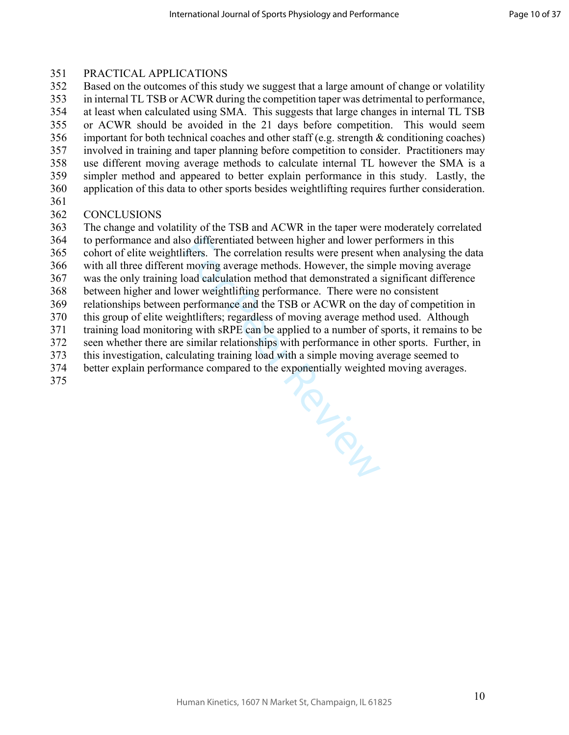#### 351 PRACTICAL APPLICATIONS

352 Based on the outcomes of this study we suggest that a large amount of change or volatility 353 in internal TL TSB or ACWR during the competition taper was detrimental to performance, 354 at least when calculated using SMA. This suggests that large changes in internal TL TSB 355 or ACWR should be avoided in the 21 days before competition. This would seem 356 important for both technical coaches and other staff (e.g. strength & conditioning coaches) 357 involved in training and taper planning before competition to consider. Practitioners may 358 use different moving average methods to calculate internal TL however the SMA is a 359 simpler method and appeared to better explain performance in this study. Lastly, the 360 application of this data to other sports besides weightlifting requires further consideration.

361

#### 362 CONCLUSIONS

- 363 The change and volatility of the TSB and ACWR in the taper were moderately correlated
- 364 to performance and also differentiated between higher and lower performers in this
- 365 cohort of elite weightlifters. The correlation results were present when analysing the data
- 366 with all three different moving average methods. However, the simple moving average
- 367 was the only training load calculation method that demonstrated a significant difference
- 368 between higher and lower weightlifting performance. There were no consistent
- 369 relationships between performance and the TSB or ACWR on the day of competition in
- 370 this group of elite weightlifters; regardless of moving average method used. Although
- 371 training load monitoring with sRPE can be applied to a number of sports, it remains to be
- 372 seen whether there are similar relationships with performance in other sports. Further, in

For Pu

- 373 this investigation, calculating training load with a simple moving average seemed to
- 374 better explain performance compared to the exponentially weighted moving averages.
- 375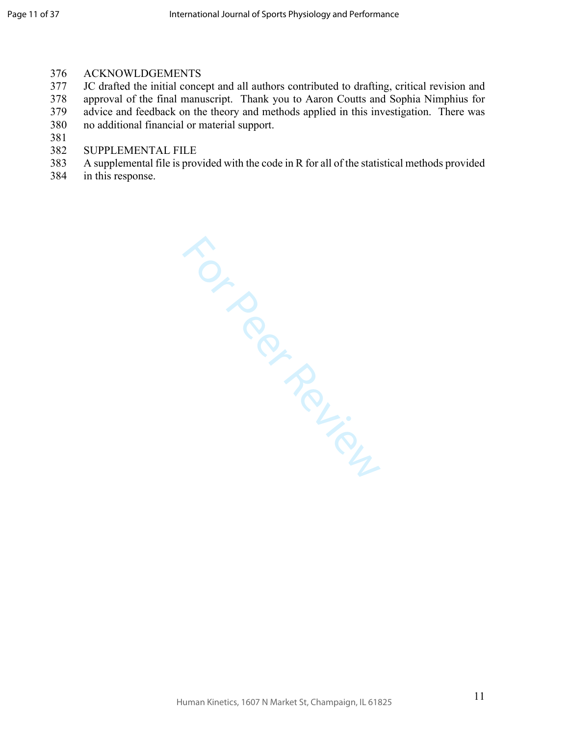376 ACKNOWLDGEMENTS

377 JC drafted the initial concept and all authors contributed to drafting, critical revision and 378 approval of the final manuscript. Thank you to Aaron Coutts and Sophia Nimphius for 379 advice and feedback on the theory and methods applied in this investigation. There was 380 no additional financial or material support.

- 381
- 382 SUPPLEMENTAL FILE
- 383 A supplemental file is provided with the code in R for all of the statistical methods provided
- 384 in this response.

TO PROVISION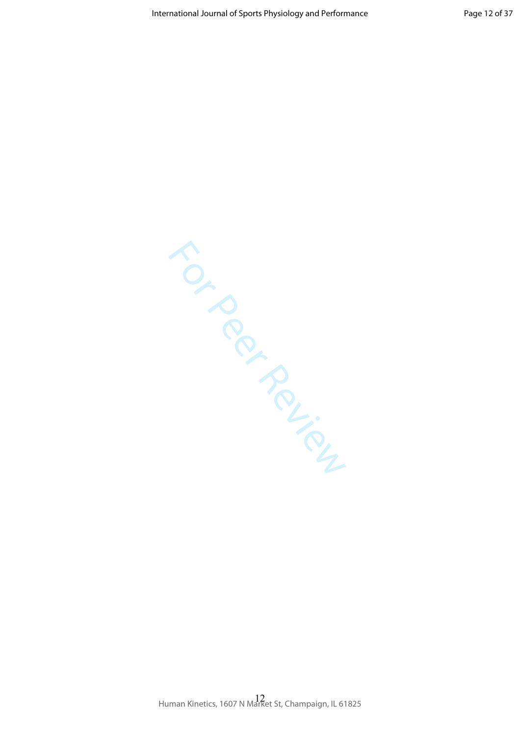For Perinage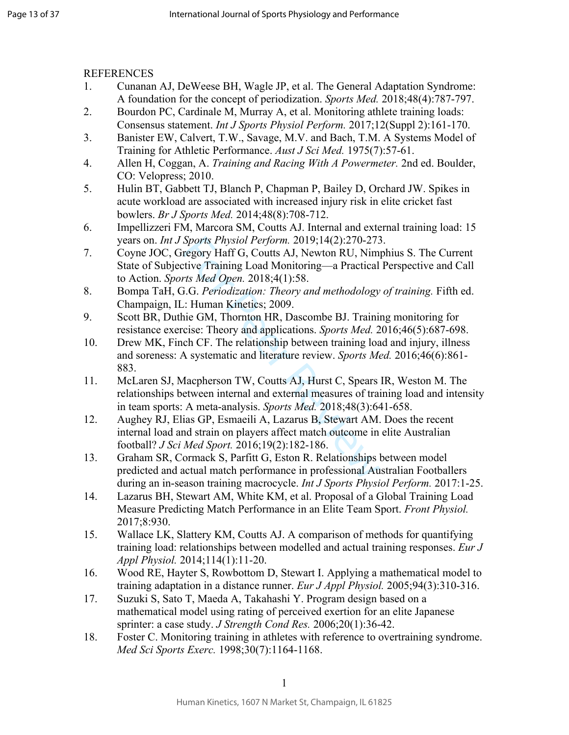#### REFERENCES

- 1. Cunanan AJ, DeWeese BH, Wagle JP, et al. The General Adaptation Syndrome: A foundation for the concept of periodization. *Sports Med.* 2018;48(4):787-797.
- 2. Bourdon PC, Cardinale M, Murray A, et al. Monitoring athlete training loads: Consensus statement. *Int J Sports Physiol Perform.* 2017;12(Suppl 2):161-170.
- 3. Banister EW, Calvert, T.W., Savage, M.V. and Bach, T.M. A Systems Model of Training for Athletic Performance. *Aust J Sci Med.* 1975(7):57-61.
- 4. Allen H, Coggan, A. *Training and Racing With A Powermeter.* 2nd ed. Boulder, CO: Velopress; 2010.
- 5. Hulin BT, Gabbett TJ, Blanch P, Chapman P, Bailey D, Orchard JW. Spikes in acute workload are associated with increased injury risk in elite cricket fast bowlers. *Br J Sports Med.* 2014;48(8):708-712.
- 6. Impellizzeri FM, Marcora SM, Coutts AJ. Internal and external training load: 15 years on. *Int J Sports Physiol Perform.* 2019;14(2):270-273.
- Sports Physiol Perform. 2019;14(2):270-273<br>regory Haff G, Coutts AJ, Newton RU, Nim<br>ritive Training Load Monitoring—a Practical<br>rts Med Open. 2018;4(1):58.<br>i.G. Periodization: Theory and methodology<br>.: Human Kinetics; 2009 7. Coyne JOC, Gregory Haff G, Coutts AJ, Newton RU, Nimphius S. The Current State of Subjective Training Load Monitoring—a Practical Perspective and Call to Action. *Sports Med Open.* 2018;4(1):58.
- 8. Bompa TaH, G.G. *Periodization: Theory and methodology of training.* Fifth ed. Champaign, IL: Human Kinetics; 2009.
- 9. Scott BR, Duthie GM, Thornton HR, Dascombe BJ. Training monitoring for resistance exercise: Theory and applications. *Sports Med.* 2016;46(5):687-698.
- 10. Drew MK, Finch CF. The relationship between training load and injury, illness and soreness: A systematic and literature review. *Sports Med.* 2016;46(6):861- 883.
- 11. McLaren SJ, Macpherson TW, Coutts AJ, Hurst C, Spears IR, Weston M. The relationships between internal and external measures of training load and intensity in team sports: A meta-analysis. *Sports Med.* 2018;48(3):641-658.
- 12. Aughey RJ, Elias GP, Esmaeili A, Lazarus B, Stewart AM. Does the recent internal load and strain on players affect match outcome in elite Australian football? *J Sci Med Sport.* 2016;19(2):182-186.
- 13. Graham SR, Cormack S, Parfitt G, Eston R. Relationships between model predicted and actual match performance in professional Australian Footballers during an in-season training macrocycle. *Int J Sports Physiol Perform.* 2017:1-25.
- 14. Lazarus BH, Stewart AM, White KM, et al. Proposal of a Global Training Load Measure Predicting Match Performance in an Elite Team Sport. *Front Physiol.*  2017;8:930.
- 15. Wallace LK, Slattery KM, Coutts AJ. A comparison of methods for quantifying training load: relationships between modelled and actual training responses. *Eur J Appl Physiol.* 2014;114(1):11-20.
- 16. Wood RE, Hayter S, Rowbottom D, Stewart I. Applying a mathematical model to training adaptation in a distance runner. *Eur J Appl Physiol.* 2005;94(3):310-316.
- 17. Suzuki S, Sato T, Maeda A, Takahashi Y. Program design based on a mathematical model using rating of perceived exertion for an elite Japanese sprinter: a case study. *J Strength Cond Res.* 2006;20(1):36-42.
- 18. Foster C. Monitoring training in athletes with reference to overtraining syndrome. *Med Sci Sports Exerc.* 1998;30(7):1164-1168.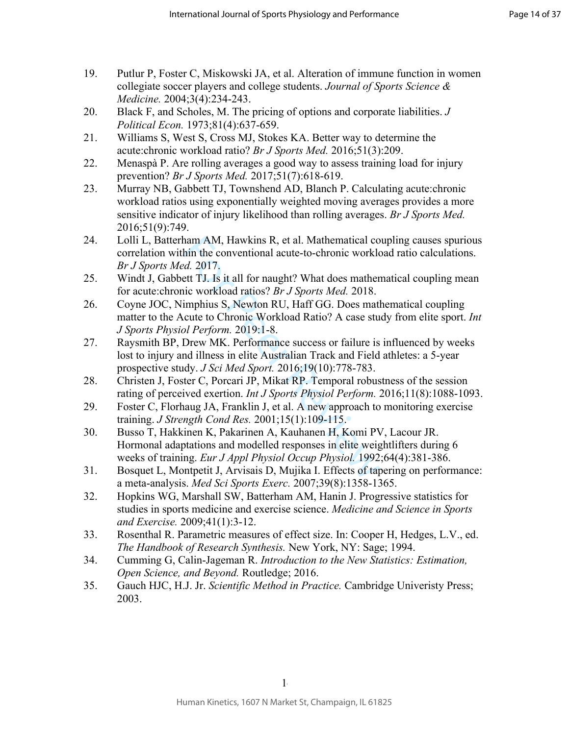- 19. Putlur P, Foster C, Miskowski JA, et al. Alteration of immune function in women collegiate soccer players and college students. *Journal of Sports Science & Medicine.* 2004;3(4):234-243.
- 20. Black F, and Scholes, M. The pricing of options and corporate liabilities. *J Political Econ.* 1973;81(4):637-659.
- 21. Williams S, West S, Cross MJ, Stokes KA. Better way to determine the acute:chronic workload ratio? *Br J Sports Med.* 2016;51(3):209.
- 22. Menaspà P. Are rolling averages a good way to assess training load for injury prevention? *Br J Sports Med.* 2017;51(7):618-619.
- 23. Murray NB, Gabbett TJ, Townshend AD, Blanch P. Calculating acute:chronic workload ratios using exponentially weighted moving averages provides a more sensitive indicator of injury likelihood than rolling averages. *Br J Sports Med.*  2016;51(9):749.
- 24. Lolli L, Batterham AM, Hawkins R, et al. Mathematical coupling causes spurious correlation within the conventional acute-to-chronic workload ratio calculations. *Br J Sports Med.* 2017.
- 25. Windt J, Gabbett TJ. Is it all for naught? What does mathematical coupling mean for acute:chronic workload ratios? *Br J Sports Med.* 2018.
- 26. Coyne JOC, Nimphius S, Newton RU, Haff GG. Does mathematical coupling matter to the Acute to Chronic Workload Ratio? A case study from elite sport. *Int J Sports Physiol Perform.* 2019:1-8.
- 27. Raysmith BP, Drew MK. Performance success or failure is influenced by weeks lost to injury and illness in elite Australian Track and Field athletes: a 5-year prospective study. *J Sci Med Sport.* 2016;19(10):778-783.
- 28. Christen J, Foster C, Porcari JP, Mikat RP. Temporal robustness of the session rating of perceived exertion. *Int J Sports Physiol Perform.* 2016;11(8):1088-1093.
- 29. Foster C, Florhaug JA, Franklin J, et al. A new approach to monitoring exercise training. *J Strength Cond Res.* 2001;15(1):109-115.
- ham AM, Hawkins R, et al. Mathematical co<br>hin the conventional acute-to-chronic worklo*ed.* 2017.<br>ett TJ. Is it all for naught? What does mather<br>nic workload ratios? *Br J Sports Med.* 2018.<br>imphius S, Newton RU, Haff GG. 30. Busso T, Hakkinen K, Pakarinen A, Kauhanen H, Komi PV, Lacour JR. Hormonal adaptations and modelled responses in elite weightlifters during 6 weeks of training. *Eur J Appl Physiol Occup Physiol.* 1992;64(4):381-386.
- 31. Bosquet L, Montpetit J, Arvisais D, Mujika I. Effects of tapering on performance: a meta-analysis. *Med Sci Sports Exerc.* 2007;39(8):1358-1365.
- 32. Hopkins WG, Marshall SW, Batterham AM, Hanin J. Progressive statistics for studies in sports medicine and exercise science. *Medicine and Science in Sports and Exercise.* 2009;41(1):3-12.
- 33. Rosenthal R. Parametric measures of effect size. In: Cooper H, Hedges, L.V., ed. *The Handbook of Research Synthesis.* New York, NY: Sage; 1994.
- 34. Cumming G, Calin-Jageman R. *Introduction to the New Statistics: Estimation, Open Science, and Beyond.* Routledge; 2016.
- 35. Gauch HJC, H.J. Jr. *Scientific Method in Practice.* Cambridge Univeristy Press; 2003.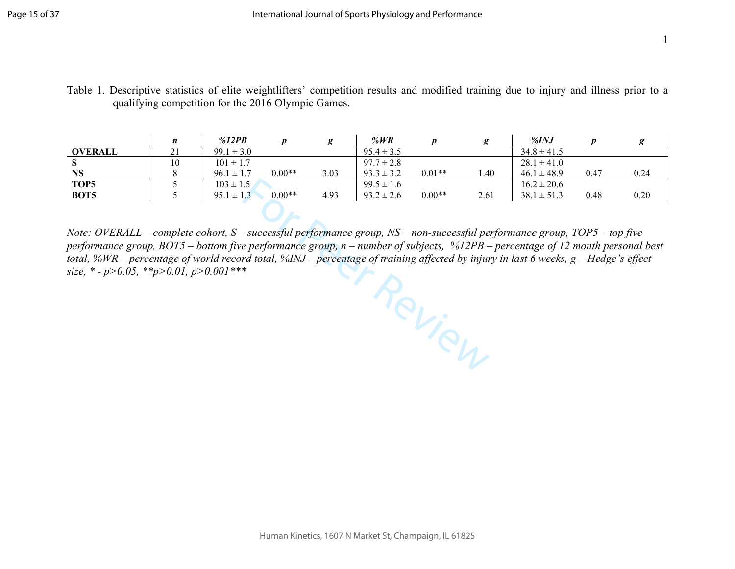Table 1. Descriptive statistics of elite weightlifters' competition results and modified training due to injury and illness prior to a qualifying competition for the 2016 Olympic Games.

|                  | n         | %12PB          |          |      | % $WR$         |          |      | $\%INJ$         |      |      |
|------------------|-----------|----------------|----------|------|----------------|----------|------|-----------------|------|------|
| <b>OVERALL</b>   | 21<br>∠ ⊥ | $99.1 \pm 3.0$ |          |      | $95.4 \pm 3.5$ |          |      | $34.8 \pm 41.5$ |      |      |
|                  | 10        | $101 \pm 1.7$  |          |      | $97.7 \pm 2.8$ |          |      | $28.1 \pm 41.0$ |      |      |
| <b>NS</b>        |           | $96.1 \pm 1.7$ | $0.00**$ | 3.03 | $93.3 \pm 3.2$ | $0.01**$ | 1.40 | $46.1 \pm 48.9$ | 0.47 | 0.24 |
| TOP5             |           | $103 \pm 1.5$  |          |      | $99.5 \pm 1.6$ |          |      | $16.2 \pm 20.6$ |      |      |
| BOT <sub>5</sub> |           | $95.1 \pm 1.3$ | $0.00**$ | 4.93 | $93.2 \pm 2.6$ | $0.00**$ | 2.61 | $38.1 \pm 51.3$ | 0.48 | 0.20 |

cessful performance group, NS – non-successful performance<br>
rformance group, n – number of subjects, %12PB – per<br>
of training affected by injury in<br>
and the set of training affected by injury in<br>
and the set of training af *Note: OVERALL – complete cohort, S – successful performance group, NS – non-successful performance group, TOP5 – top five performance group, BOT5 – bottom five performance group, n – number of subjects, %12PB – percentage of 12 month personal best total, %WR* – *percentage of world record total, %INJ* – *percentage of training affected by injury in last 6 weeks, g – Hedge's effect size, \* - p>0.05, \*\*p>0.01, p>0.001\*\*\**

Human Kinetics, 1607 N Market St, Champaign, IL 61825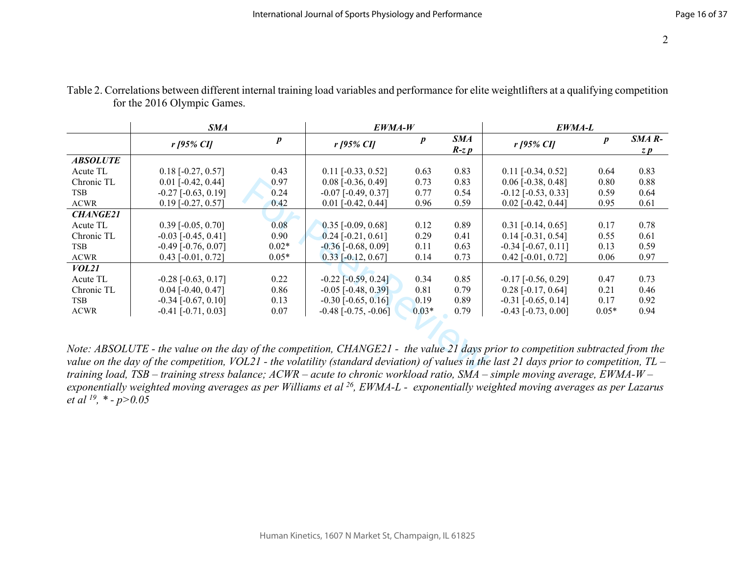| <b>SMA</b>                       |         |                               |                  |                  |                              |                  |                                                                                                                                                                                                                                                                                                                                                                                                          |
|----------------------------------|---------|-------------------------------|------------------|------------------|------------------------------|------------------|----------------------------------------------------------------------------------------------------------------------------------------------------------------------------------------------------------------------------------------------------------------------------------------------------------------------------------------------------------------------------------------------------------|
| $\boldsymbol{p}$<br>$r$ [95% CI] |         | $r$ [95% CI]                  | $\boldsymbol{p}$ | SMA<br>$R-z$ $p$ | $r$ [95% CI]                 | $\boldsymbol{p}$ | SMA R-<br>z p                                                                                                                                                                                                                                                                                                                                                                                            |
|                                  |         |                               |                  |                  |                              |                  |                                                                                                                                                                                                                                                                                                                                                                                                          |
| $0.18$ [-0.27, 0.57]             | 0.43    | $0.11$ [-0.33, 0.52]          | 0.63             | 0.83             | $0.11$ [ $-0.34$ , $0.52$ ]  | 0.64             | 0.83                                                                                                                                                                                                                                                                                                                                                                                                     |
| $0.01$ [ $-0.42$ , $0.44$ ]      | 0.97    | $0.08$ [ $-0.36$ , 0.49]      | 0.73             | 0.83             | $0.06$ [-0.38, 0.48]         | 0.80             | 0.88                                                                                                                                                                                                                                                                                                                                                                                                     |
| $-0.27$ $[-0.63, 0.19]$          | 0.24    | $-0.07$ $[-0.49, 0.37]$       | 0.77             | 0.54             | $-0.12$ $[-0.53, 0.33]$      | 0.59             | 0.64                                                                                                                                                                                                                                                                                                                                                                                                     |
| $0.19$ [-0.27, 0.57]             | 0.42    | $0.01$ [ $-0.42$ , $0.44$ ]   | 0.96             | 0.59             | $0.02$ [-0.42, 0.44]         | 0.95             | 0.61                                                                                                                                                                                                                                                                                                                                                                                                     |
|                                  |         |                               |                  |                  |                              |                  |                                                                                                                                                                                                                                                                                                                                                                                                          |
| $0.39$ [-0.05, 0.70]             | 0.08    | $0.35$ [-0.09, 0.68]          | 0.12             | 0.89             | $0.31$ [-0.14, 0.65]         | 0.17             | 0.78                                                                                                                                                                                                                                                                                                                                                                                                     |
| $-0.03$ [ $-0.45$ , 0.41]        | 0.90    | $0.24$ [-0.21, 0.61]          | 0.29             | 0.41             | $0.14$ [-0.31, 0.54]         | 0.55             | 0.61                                                                                                                                                                                                                                                                                                                                                                                                     |
| $-0.49$ [ $-0.76$ , $0.07$ ]     | $0.02*$ | $-0.36$ [ $-0.68$ , $0.09$ ]  | 0.11             | 0.63             | $-0.34$ [ $-0.67, 0.11$ ]    | 0.13             | 0.59                                                                                                                                                                                                                                                                                                                                                                                                     |
| $0.43$ [-0.01, 0.72]             | $0.05*$ | $0.33$ [-0.12, 0.67]          | 0.14             | 0.73             | $0.42$ [-0.01, 0.72]         | 0.06             | 0.97                                                                                                                                                                                                                                                                                                                                                                                                     |
|                                  |         |                               |                  |                  |                              |                  |                                                                                                                                                                                                                                                                                                                                                                                                          |
| $-0.28$ $[-0.63, 0.17]$          | 0.22    | $-0.22$ $[-0.59, 0.24]$       | 0.34             | 0.85             | $-0.17$ $[-0.56, 0.29]$      | 0.47             | 0.73                                                                                                                                                                                                                                                                                                                                                                                                     |
| $0.04$ [-0.40, 0.47]             | 0.86    | $-0.05$ $[-0.48, 0.39]$       | 0.81             | 0.79             | $0.28$ [-0.17, 0.64]         | 0.21             | 0.46                                                                                                                                                                                                                                                                                                                                                                                                     |
| $-0.34$ [ $-0.67, 0.10$ ]        | 0.13    | $-0.30$ $[-0.65, 0.16]$       | 0.19             | 0.89             | $-0.31$ $[-0.65, 0.14]$      | 0.17             | 0.92                                                                                                                                                                                                                                                                                                                                                                                                     |
| $-0.41$ [ $-0.71$ , $0.03$ ]     | 0.07    | $-0.48$ [ $-0.75$ , $-0.06$ ] | $0.03*$          | 0.79             | $-0.43$ [ $-0.73$ , $0.00$ ] | $0.05*$          | 0.94                                                                                                                                                                                                                                                                                                                                                                                                     |
|                                  |         |                               |                  |                  |                              |                  |                                                                                                                                                                                                                                                                                                                                                                                                          |
|                                  |         |                               |                  |                  |                              |                  |                                                                                                                                                                                                                                                                                                                                                                                                          |
|                                  |         |                               |                  |                  |                              |                  |                                                                                                                                                                                                                                                                                                                                                                                                          |
|                                  |         |                               |                  |                  |                              |                  |                                                                                                                                                                                                                                                                                                                                                                                                          |
|                                  |         |                               |                  |                  |                              |                  |                                                                                                                                                                                                                                                                                                                                                                                                          |
|                                  |         |                               |                  | EWMA-W           |                              |                  | EWMA-L<br>Note: ABSOLUTE - the value on the day of the competition, CHANGE21 - the value 21 days prior to competition subtracted from the<br>value on the day of the competition, $VOL21$ - the volatility (standard deviation) of values in the last 21 days prior to competition, $TL -$<br>tugining load TCD tugining stugg balance ACWD gents to chuonic would advatio CMA given woung gyougos EWMAN |

Table 2. Correlations between different internal training load variables and performance for elite weightlifters at a qualifying competition for the 2016 Olympic Games.

*Note: ABSOLUTE - the value on the day of the competition, CHANGE21 - the value 21 days prior to competition subtracted from the value on the day of the competition, VOL21 - the volatility (standard deviation) of values in the last 21 days prior to competition, TL – training load, TSB – training stress balance; ACWR – acute to chronic workload ratio, SMA – simple moving average, EWMA-W – exponentially weighted moving averages as per Williams et al <sup>26</sup>, EWMA-L - exponentially weighted moving averages as per Lazarus et al <sup>19</sup>, \* - p>0.05*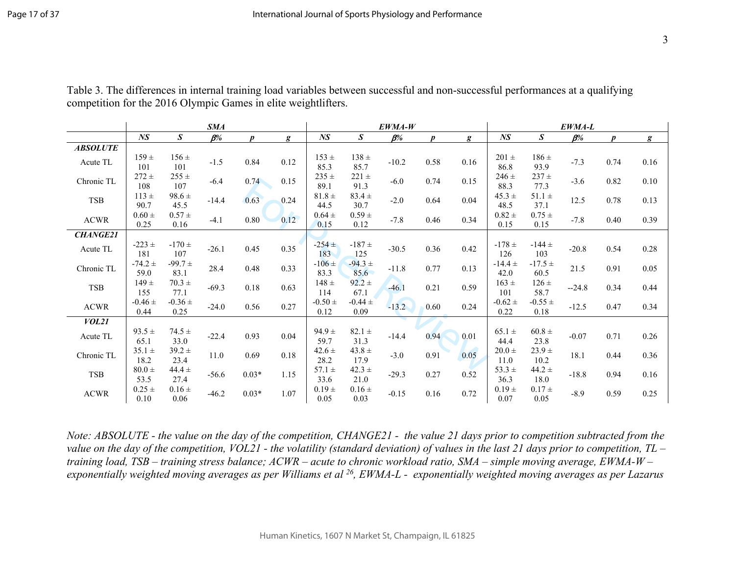| I<br>۰. | × |
|---------|---|
| ۱<br>۰, |   |

|                 | <b>SMA</b>             |                     |           |                  |      |                       |                     | EWMA-W          |                  |      | EWMA-L              |                     |           |                  |      |  |
|-----------------|------------------------|---------------------|-----------|------------------|------|-----------------------|---------------------|-----------------|------------------|------|---------------------|---------------------|-----------|------------------|------|--|
|                 | $\mathbf{N}\mathbf{S}$ | S                   | $\beta\%$ | $\boldsymbol{v}$ | g    | N <sub>S</sub>        | S                   | $\mathcal{B}\%$ | $\boldsymbol{D}$ | g    | $N\!S$              | S                   | $\beta\%$ | $\boldsymbol{p}$ | g    |  |
| <b>ABSOLUTE</b> |                        |                     |           |                  |      |                       |                     |                 |                  |      |                     |                     |           |                  |      |  |
| Acute TL        | $159 \pm$<br>101       | $156 \pm$<br>101    | $-1.5$    | 0.84             | 0.12 | $153 \pm$<br>85.3     | $138 \pm$<br>85.7   | $-10.2$         | 0.58             | 0.16 | $201 \pm$<br>86.8   | $186 \pm$<br>93.9   | $-7.3$    | 0.74             | 0.16 |  |
| Chronic TL      | $272 +$<br>108         | $255 \pm$<br>107    | $-6.4$    | 0.74             | 0.15 | $235$ $\pm$<br>89.1   | $221 \pm$<br>91.3   | $-6.0$          | 0.74             | 0.15 | $246 \pm$<br>88.3   | $237$ $\pm$<br>77.3 | $-3.6$    | 0.82             | 0.10 |  |
| TSB             | $113 \pm$<br>90.7      | $98.6 \pm$<br>45.5  | $-14.4$   | 0.63             | 0.24 | $81.8 \pm$<br>44.5    | $83.4 \pm$<br>30.7  | $-2.0$          | 0.64             | 0.04 | $45.3 \pm$<br>48.5  | $51.1 \pm$<br>37.1  | 12.5      | 0.78             | 0.13 |  |
| <b>ACWR</b>     | $0.60 \pm$<br>0.25     | $0.57 \pm$<br>0.16  | $-4.1$    | 0.80             | 0.12 | $0.64 \pm$<br>0.15    | $0.59 \pm$<br>0.12  | $-7.8$          | 0.46             | 0.34 | $0.82 \pm$<br>0.15  | $0.75 \pm$<br>0.15  | $-7.8$    | 0.40             | 0.39 |  |
| <b>CHANGE21</b> |                        |                     |           |                  |      |                       |                     |                 |                  |      |                     |                     |           |                  |      |  |
| Acute TL        | -223 $\pm$<br>181      | $-170 \pm$<br>107   | $-26.1$   | 0.45             | 0.35 | $-254 \pm$<br>183     | $-187 \pm$<br>125   | $-30.5$         | 0.36             | 0.42 | $-178 \pm$<br>126   | $-144 \pm$<br>103   | $-20.8$   | 0.54             | 0.28 |  |
| Chronic TL      | $-74.2 \pm$<br>59.0    | $-99.7 \pm$<br>83.1 | 28.4      | 0.48             | 0.33 | $-106 \pm$<br>83.3    | $-94.3 \pm$<br>85.6 | $-11.8$         | 0.77             | 0.13 | $-14.4 \pm$<br>42.0 | $-17.5 \pm$<br>60.5 | 21.5      | 0.91             | 0.05 |  |
| TSB             | $149 \pm$<br>155       | $70.3 \pm$<br>77.1  | $-69.3$   | 0.18             | 0.63 | $148 \pm$<br>114      | $92.2 \pm$<br>67.1  | $-46.1$         | 0.21             | 0.59 | $163 \pm$<br>101    | $126 \pm$<br>58.7   | $-24.8$   | 0.34             | 0.44 |  |
| <b>ACWR</b>     | $-0.46 \pm$<br>0.44    | $-0.36 \pm$<br>0.25 | $-24.0$   | 0.56             | 0.27 | $-0.50 \pm$<br>0.12   | $-0.44 \pm$<br>0.09 | $-13.2$         | 0.60             | 0.24 | $-0.62 \pm$<br>0.22 | $-0.55 \pm$<br>0.18 | $-12.5$   | 0.47             | 0.34 |  |
| <i>VOL21</i>    |                        |                     |           |                  |      |                       |                     |                 |                  |      |                     |                     |           |                  |      |  |
| Acute TL        | $93.5 \pm$<br>65.1     | $74.5 \pm$<br>33.0  | $-22.4$   | 0.93             | 0.04 | $94.9 \pm$<br>59.7    | $82.1 \pm$<br>31.3  | $-14.4$         | 0.94             | 0.01 | $65.1 \pm$<br>44.4  | $60.8 \pm$<br>23.8  | $-0.07$   | 0.71             | 0.26 |  |
| Chronic TL      | $35.1 \pm$<br>18.2     | $39.2 \pm$<br>23.4  | 11.0      | 0.69             | 0.18 | $42.6 \pm$<br>28.2    | $43.8 \pm$<br>17.9  | $-3.0$          | 0.91             | 0.05 | $20.0 \pm$<br>11.0  | $23.9 +$<br>10.2    | 18.1      | 0.44             | 0.36 |  |
| TSB             | $80.0 \pm$<br>53.5     | $44.4\,\pm$<br>27.4 | $-56.6$   | $0.03*$          | 1.15 | $57.1 \pm$<br>33.6    | $42.3 \pm$<br>21.0  | $-29.3$         | 0.27             | 0.52 | $53.3 \pm$<br>36.3  | $44.2\,\pm$<br>18.0 | $-18.8$   | 0.94             | 0.16 |  |
| <b>ACWR</b>     | $0.25 \pm$<br>0.10     | $0.16 \pm$<br>0.06  | $-46.2$   | $0.03*$          | 1.07 | $0.19\,\pm\,$<br>0.05 | $0.16 \pm$<br>0.03  | $-0.15$         | 0.16             | 0.72 | $0.19 \pm$<br>0.07  | $0.17 \pm$<br>0.05  | $-8.9$    | 0.59             | 0.25 |  |

Table 3. The differences in internal training load variables between successful and non-successful performances at a qualifying competition for the 2016 Olympic Games in elite weightlifters.

*Note: ABSOLUTE - the value on the day of the competition, CHANGE21 - the value 21 days prior to competition subtracted from the value on the day of the competition, VOL21 - the volatility (standard deviation) of values in the last 21 days prior to competition, TL – training load, TSB – training stress balance; ACWR – acute to chronic workload ratio, SMA – simple moving average, EWMA-W – exponentially weighted moving averages as per Williams et al <sup>26</sup>, EWMA-L - exponentially weighted moving averages as per Lazarus*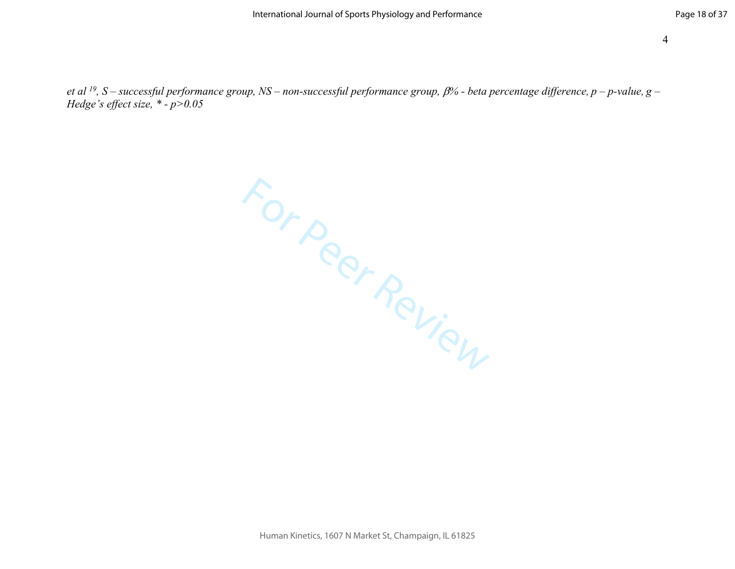*et al <sup>19</sup>, S – successful performance group, NS – non-successful performance group, % - beta percentage difference, p – p-value, g – Hedge's effect size, \* - p>0.05*

For Peer Review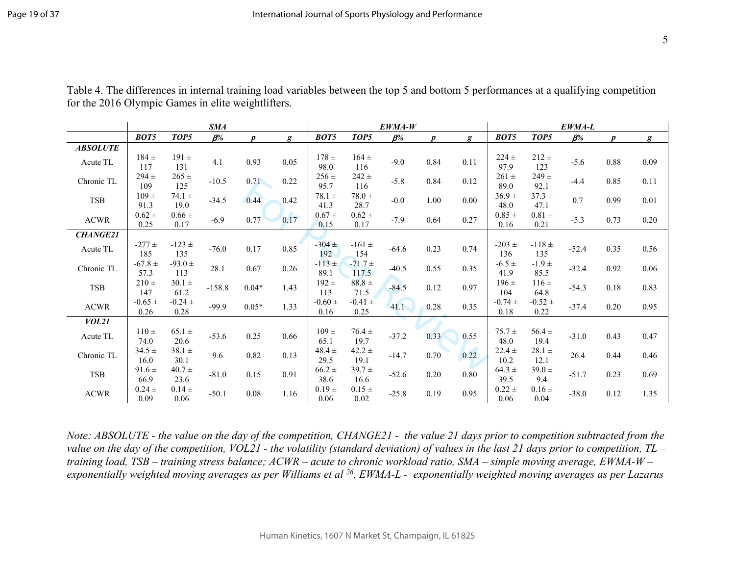|                 |                     |                     | <b>SMA</b> |                  |      |                     |                      | EWMA-W    |                  |              | EWMA-L              |                       |           |                  |      |  |
|-----------------|---------------------|---------------------|------------|------------------|------|---------------------|----------------------|-----------|------------------|--------------|---------------------|-----------------------|-----------|------------------|------|--|
|                 | BOT5                | TOP5                | $\beta\%$  | $\boldsymbol{D}$ | g    | <b>BOT5</b>         | TOP5                 | $\beta\%$ | $\boldsymbol{D}$ | $\mathbf{g}$ | <b>BOT5</b>         | TOP5                  | $\beta\%$ | $\boldsymbol{p}$ | g    |  |
| <b>ABSOLUTE</b> |                     |                     |            |                  |      |                     |                      |           |                  |              |                     |                       |           |                  |      |  |
| Acute TL        | $184 \pm$<br>117    | $191 \pm$<br>131    | 4.1        | 0.93             | 0.05 | $178 \pm$<br>98.0   | $164 \pm$<br>116     | $-9.0$    | 0.84             | 0.11         | $224 +$<br>97.9     | $212 \pm$<br>123      | $-5.6$    | 0.88             | 0.09 |  |
| Chronic TL      | $294 \pm$<br>109    | $265 \pm$<br>125    | $-10.5$    | 0.71             | 0.22 | $256 \pm$<br>95.7   | $242 \pm$<br>116     | $-5.8$    | 0.84             | 0.12         | $261 \pm$<br>89.0   | $249 +$<br>92.1       | $-4.4$    | 0.85             | 0.11 |  |
| <b>TSB</b>      | $109 \pm$<br>91.3   | $74.1 \pm$<br>19.0  | $-34.5$    | 0.44             | 0.42 | $78.1 \pm$<br>41.3  | $78.0 \pm$<br>28.7   | $-0.0$    | 1.00             | 0.00         | $36.9 \pm$<br>48.0  | $37.3$ $\pm$<br>47.1  | 0.7       | 0.99             | 0.01 |  |
| <b>ACWR</b>     | $0.62 \pm$<br>0.25  | $0.66 \pm$<br>0.17  | $-6.9$     | 0.77             | 0.17 | $0.67 \pm$<br>0.15  | $0.62 \pm$<br>0.17   | $-7.9$    | 0.64             | 0.27         | $0.85 \pm$<br>0.16  | $0.81 \pm$<br>0.21    | $-5.3$    | 0.73             | 0.20 |  |
| <b>CHANGE21</b> |                     |                     |            |                  |      |                     |                      |           |                  |              |                     |                       |           |                  |      |  |
| Acute TL        | $-277 \pm$<br>185   | $-123 \pm$<br>135   | $-76.0$    | 0.17             | 0.85 | $-304 \pm$<br>192   | $-161 \pm$<br>154    | $-64.6$   | 0.23             | 0.74         | $-203 \pm$<br>136   | $-118 \pm$<br>135     | $-52.4$   | 0.35             | 0.56 |  |
| Chronic TL      | -67.8 $\pm$<br>57.3 | $-93.0 \pm$<br>113  | 28.1       | 0.67             | 0.26 | $-113 \pm$<br>89.1  | $-71.7 \pm$<br>117.5 | $-40.5$   | 0.55             | 0.35         | $-6.5 \pm$<br>41.9  | $-1.9 \pm$<br>85.5    | $-32.4$   | 0.92             | 0.06 |  |
| TSB             | $210 \pm$<br>147    | $30.1 \pm$<br>61.2  | $-158.8$   | $0.04*$          | 1.43 | $192 \pm$<br>113    | $88.8 \pm$<br>71.5   | $-84.5$   | 0.12             | 0.97         | $196 \pm$<br>104    | $116 \pm$<br>64.8     | $-54.3$   | 0.18             | 0.83 |  |
| <b>ACWR</b>     | $-0.65 \pm$<br>0.26 | $-0.24 \pm$<br>0.28 | $-99.9$    | $0.05*$          | 1.33 | $-0.60 \pm$<br>0.16 | $-0.41 \pm$<br>0.25  | 41.1      | 0.28             | 0.35         | $-0.74 \pm$<br>0.18 | $-0.52 \pm$<br>0.22   | $-37.4$   | 0.20             | 0.95 |  |
| <b>VOL21</b>    |                     |                     |            |                  |      |                     |                      |           |                  |              |                     |                       |           |                  |      |  |
| Acute TL        | $110 \pm$<br>74.0   | $65.1 \pm$<br>20.6  | $-53.6$    | 0.25             | 0.66 | $109 \pm$<br>65.1   | $76.4 \pm$<br>19.7   | $-37.2$   | 0.33             | 0.55         | $75.7 \pm$<br>48.0  | $56.4\,\pm\,$<br>19.4 | $-31.0$   | 0.43             | 0.47 |  |
| Chronic TL      | $34.5 \pm$<br>16.0  | $38.1 \pm$<br>30.1  | 9.6        | 0.82             | 0.13 | $48.4 \pm$<br>29.5  | $42.2 \pm$<br>19.1   | $-14.7$   | $0.70\,$         | 0.22         | $22.4 \pm$<br>10.2  | $28.1 \pm$<br>12.1    | 26.4      | 0.44             | 0.46 |  |
| TSB             | $91.6 \pm$<br>66.9  | $40.7 \pm$<br>23.6  | $-81.0$    | 0.15             | 0.91 | $66.2 \pm$<br>38.6  | $39.7 \pm$<br>16.6   | $-52.6$   | 0.20             | 0.80         | $64.3 \pm$<br>39.5  | $39.0 \pm$<br>9.4     | $-51.7$   | 0.23             | 0.69 |  |
| <b>ACWR</b>     | $0.24 \pm$<br>0.09  | $0.14 \pm$<br>0.06  | $-50.1$    | 0.08             | 1.16 | $0.19 =$<br>0.06    | $0.15 \pm$<br>0.02   | $-25.8$   | 0.19             | 0.95         | $0.22 \pm$<br>0.06  | $0.16 \pm$<br>0.04    | $-38.0$   | 0.12             | 1.35 |  |

Table 4. The differences in internal training load variables between the top 5 and bottom 5 performances at a qualifying competition for the 2016 Olympic Games in elite weightlifters.

*Note: ABSOLUTE - the value on the day of the competition, CHANGE21 - the value 21 days prior to competition subtracted from the value on the day of the competition, VOL21 - the volatility (standard deviation) of values in the last 21 days prior to competition, TL – training load, TSB – training stress balance; ACWR – acute to chronic workload ratio, SMA – simple moving average, EWMA-W – exponentially weighted moving averages as per Williams et al <sup>26</sup>, EWMA-L - exponentially weighted moving averages as per Lazarus*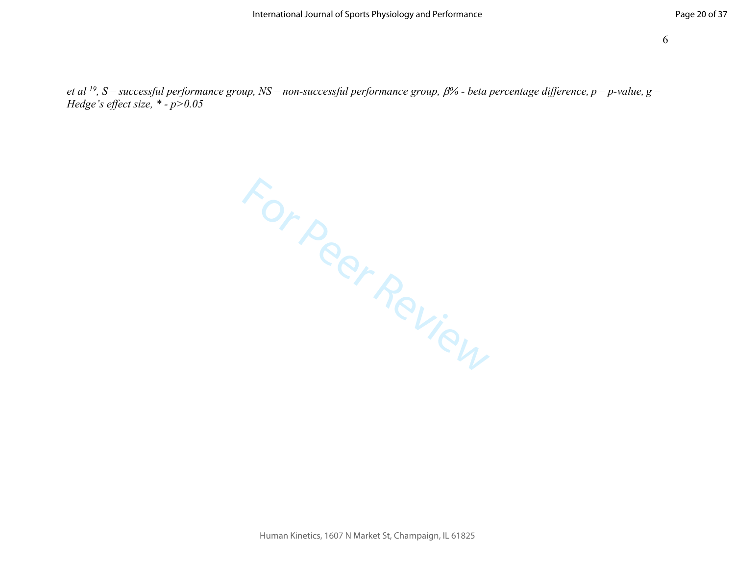*et al <sup>19</sup>, S – successful performance group, NS – non-successful performance group, % - beta percentage difference, p – p-value, g – Hedge's effect size, \* - p>0.05*

For Peer Review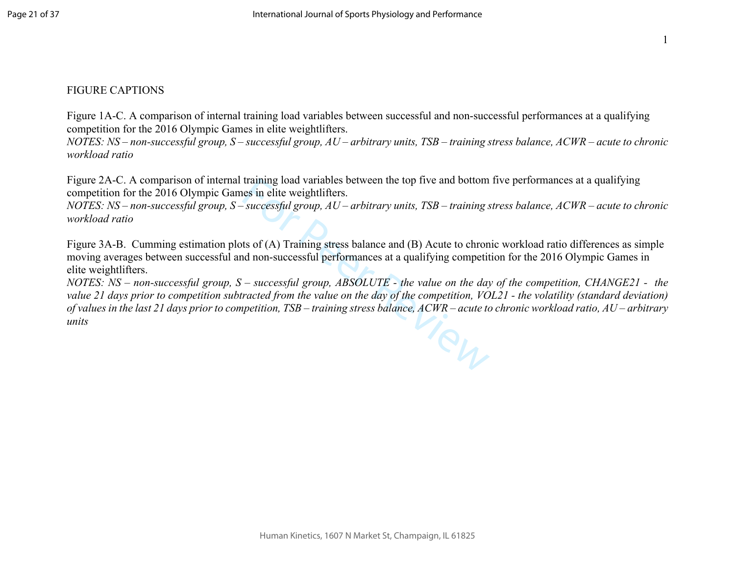#### FIGURE CAPTIONS

Figure 1A-C. A comparison of internal training load variables between successful and non-successful performances at a qualifying competition for the 2016 Olympic Games in elite weightlifters.

*NOTES: NS – non-successful group, S – successful group, AU – arbitrary units, TSB – training stress balance, ACWR – acute to chronic workload ratio*

Figure 2A-C. A comparison of internal training load variables between the top five and bottom five performances at a qualifying competition for the 2016 Olympic Games in elite weightlifters.

*NOTES: NS – non-successful group, S – successful group, AU – arbitrary units, TSB – training stress balance, ACWR – acute to chronic workload ratio*

Figure 3A-B. Cumming estimation plots of (A) Training stress balance and (B) Acute to chronic workload ratio differences as simple moving averages between successful and non-successful performances at a qualifying competition for the 2016 Olympic Games in elite weightlifters.

training load variables between the top five and bottom<br>les in elite weightlifters.<br>Funcessful group,  $AU$  – arbitrary units,  $TSB$  – training s<br>ts of (A) Training stress balance and (B) Acute to chron<br>d non-successful perf *NOTES: NS – non-successful group, S – successful group, ABSOLUTE - the value on the day of the competition, CHANGE21 - the value 21 days prior to competition subtracted from the value on the day of the competition, VOL21 - the volatility (standard deviation) of values in the last 21 days prior to competition, TSB – training stress balance, ACWR – acute to chronic workload ratio, AU – arbitrary units*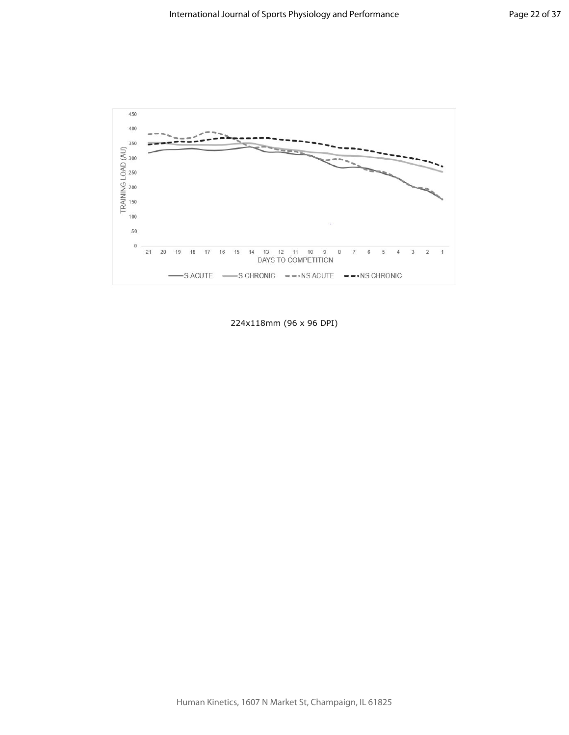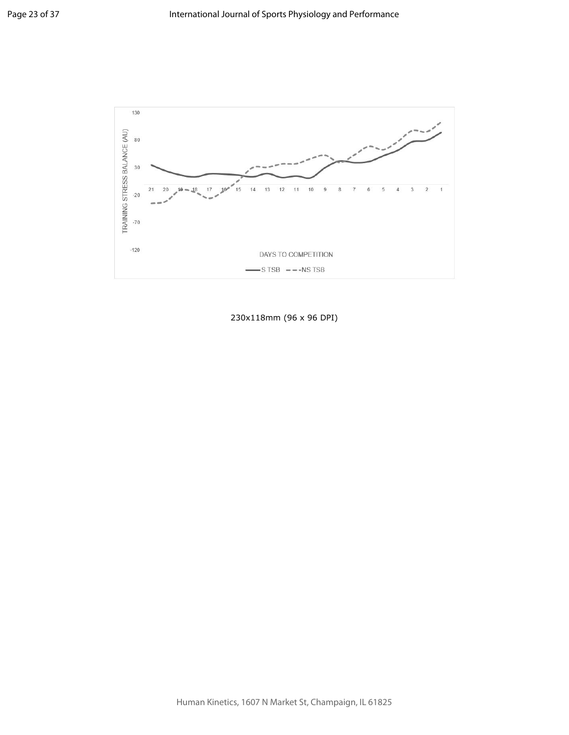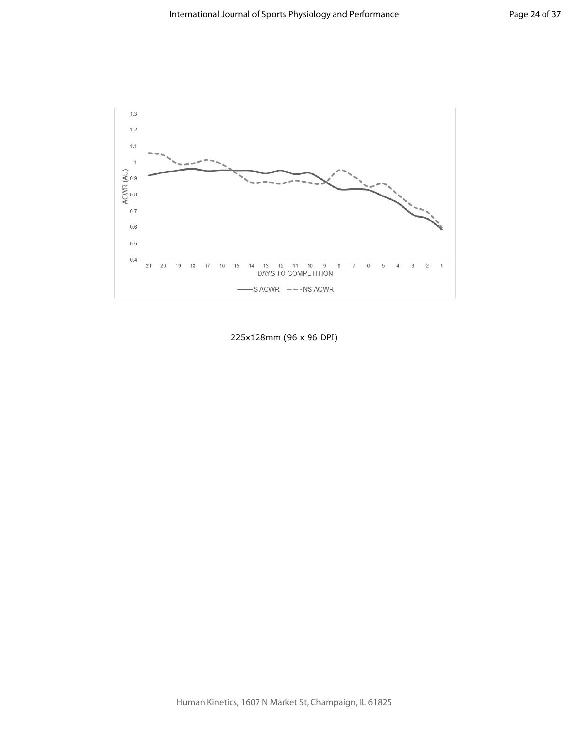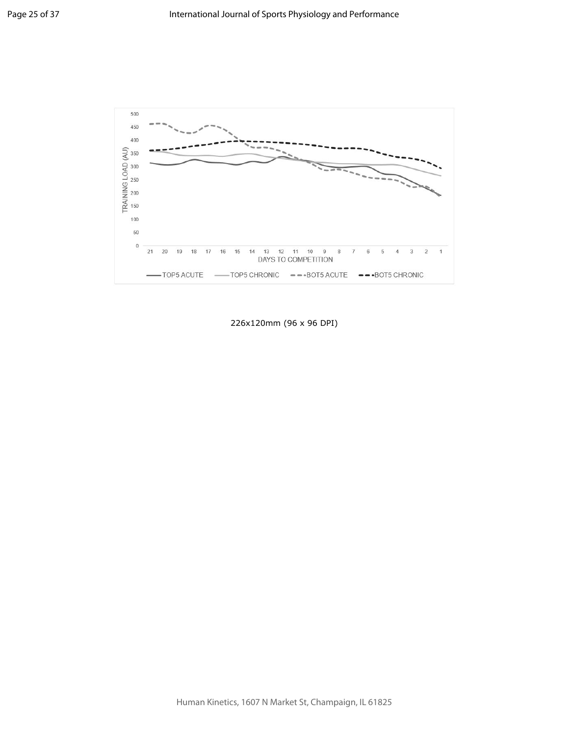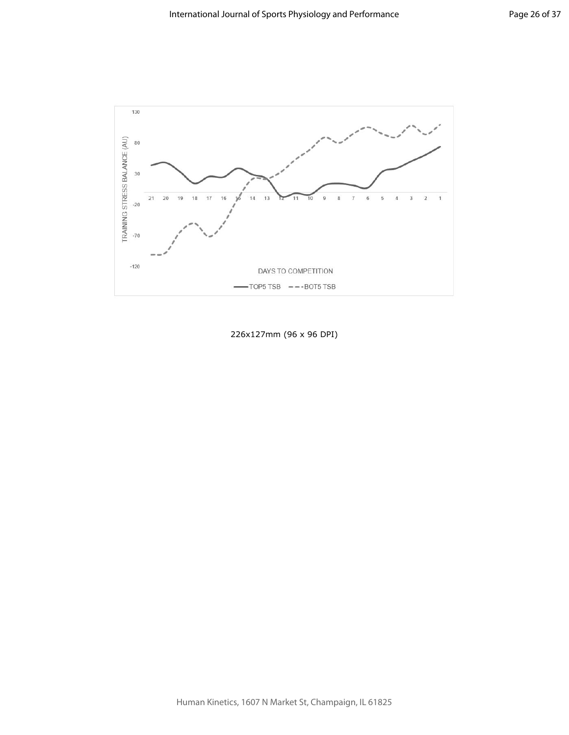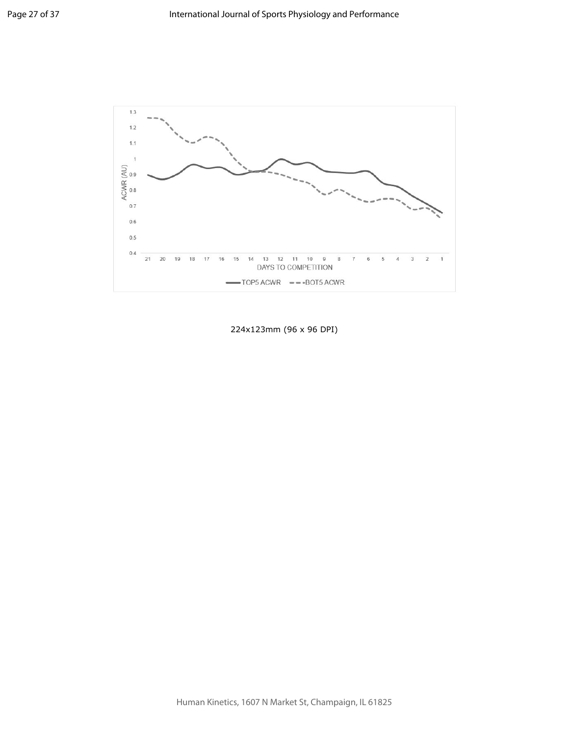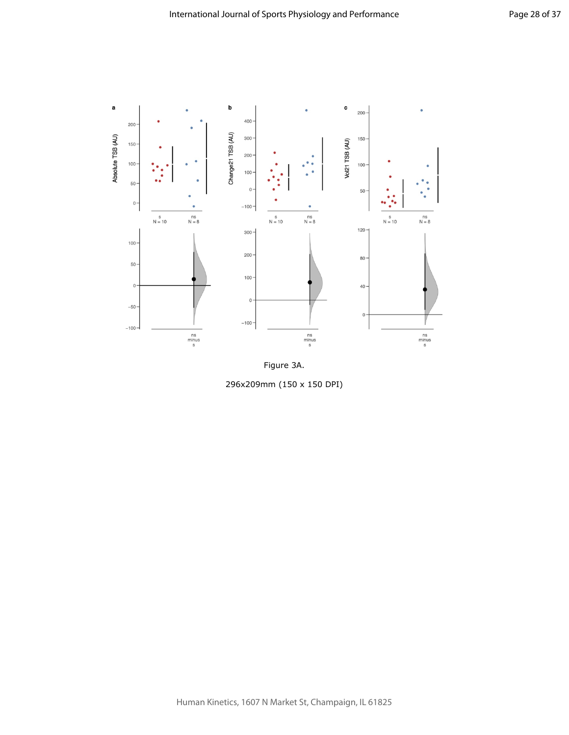

296x209mm (150 x 150 DPI)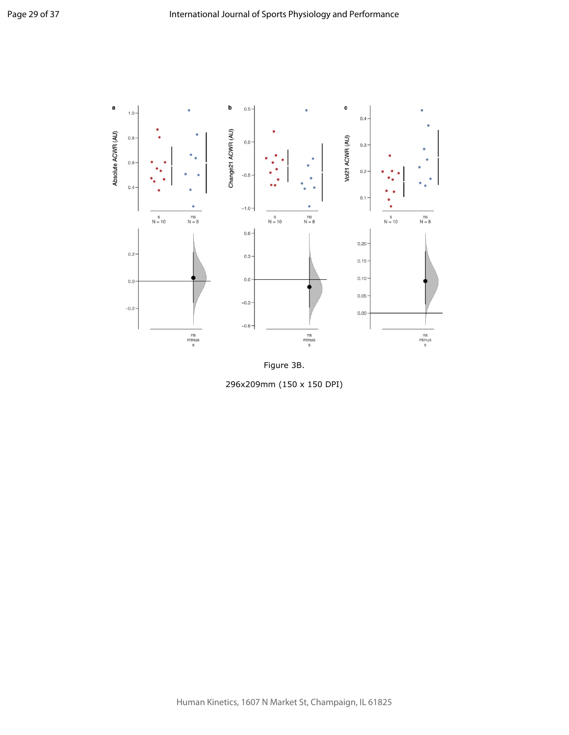

296x209mm (150 x 150 DPI)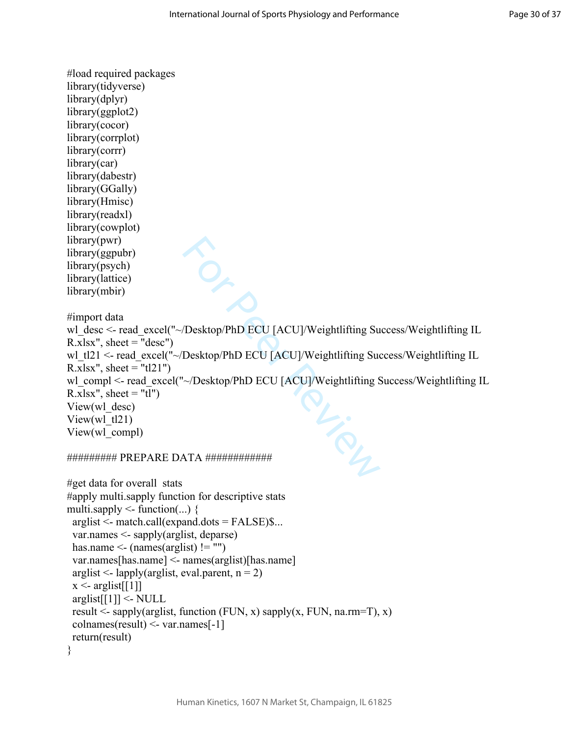```
I Felixe
#load required packages
library(tidyverse)
library(dplyr)
library(ggplot2)
library(cocor)
library(corrplot)
library(corrr)
library(car)
library(dabestr)
library(GGally)
library(Hmisc)
library(readxl)
library(cowplot)
library(pwr)
library(ggpubr)
library(psych)
library(lattice)
library(mbir)
#import data
wl_desc <- read_excel("~/Desktop/PhD ECU [ACU]/Weightlifting Success/Weightlifting IL
R.xlx'', sheet = "desc")
wl_tl21 <- read_excel("~/Desktop/PhD ECU [ACU]/Weightlifting Success/Weightlifting IL
R.xlsx", sheet = "t121")
wl_compl <- read_excel("~/Desktop/PhD ECU [ACU]/Weightlifting Success/Weightlifting IL
R.xlx'', sheet = "tl")
View(wl_desc)
View(wl t121)
View(wl_compl)
######### PREPARE DATA ############
#get data for overall stats
#apply multi.sapply function for descriptive stats
multi.sapply \leq-function(...) {
 arglist < - match.call(expand.dots = FALSE)\...
  var.names <- sapply(arglist, deparse)
```

```
has.name \leq (names(arglist) != "")
 var.names[has.name] <- names(arglist)[has.name]
arglist \leq-lapply(arglist, eval.parent, n = 2)
x \leq arglist[[1]]arglist[[1]] \leq NULL result <- sapply(arglist, function (FUN, x) sapply(x, FUN, na.rm=T), x)
 colnames(result) <- var.names[-1]
 return(result)
```

```
}
```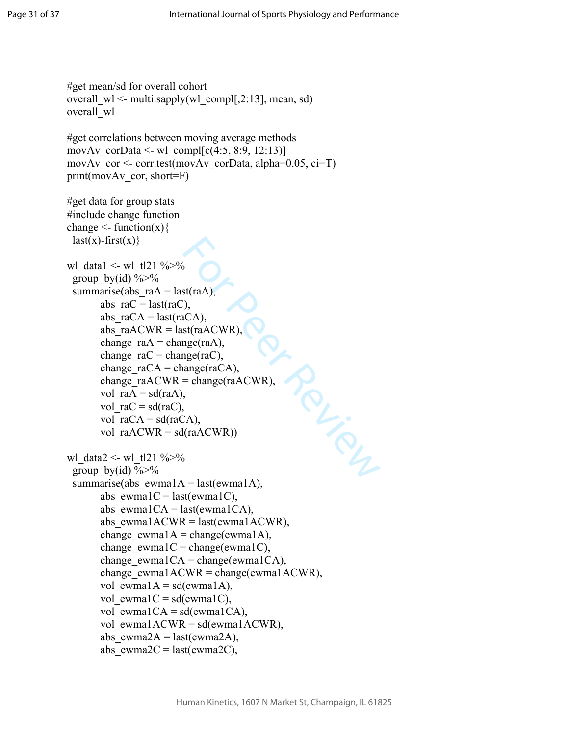```
PL-index
#get mean/sd for overall cohort
overall wl <- multi.sapply(wl_compl[,2:13], mean, sd)
overall_wl
#get correlations between moving average methods
movAv corData <- wl compl[c(4:5, 8:9, 12:13)]movAv cor \le- corr.test(movAv corData, alpha=0.05, ci=T)
print(movAv cor, short=F)
#get data for group stats
#include change function
change \leq- function(x) {
 last(x)-first(x)}
wl_data1 <- wl_tl21 %>%
 group by(id) \frac{9}{2}%
 summarise(abs \text{raA} = \text{last}(\text{raA}),
       abs raC = last(raC),
       abs raCA = last(raCA),
       abs \text{raACWR} = \text{last}(\text{raACWR}),
       change \text{raA} = \text{change}(\text{raA}),
       change rac = change(rac),
       change \text{raCA} = \text{change}(\text{raCA}),
       change \text{raACWR} = \text{change}(\text{raACWR}),
       vol \text{raA} = \text{sd}(\text{raA}),
       vol raC = sd(raC),
       vol raCA = sd(raCA),
       vol_raACWR = sd(raACWR))
wl_data2 <- wl_tl21 %>%
 group by(id) \frac{6}{9} > \frac{6}{9}summarise(abs ewma1A = last(ewma1A),
       abs ewma1C = last(ewma1C),
       abs ewma1CA = last(ewma1CA),
       abs ewma1ACWR = last(ewma1ACWR),
       change ewma1A = change(ewma1A),
       change ewma1C = change(ewma1C),
       change_ewma1CA = change(ewma1CA),
       change_ewma1ACWR = change(ewma1ACWR),
       vol ewma1A = sd(ewma1A),
       vol ewma1C = sd(ewma1C),
       vol ewmalCA = sd(ewmalCA),vol_ewma1ACWR = sd(ewma1ACWR),
       abs ewma2A = last(ewma2A),
       abs ewma2C = last(ewma2C),
```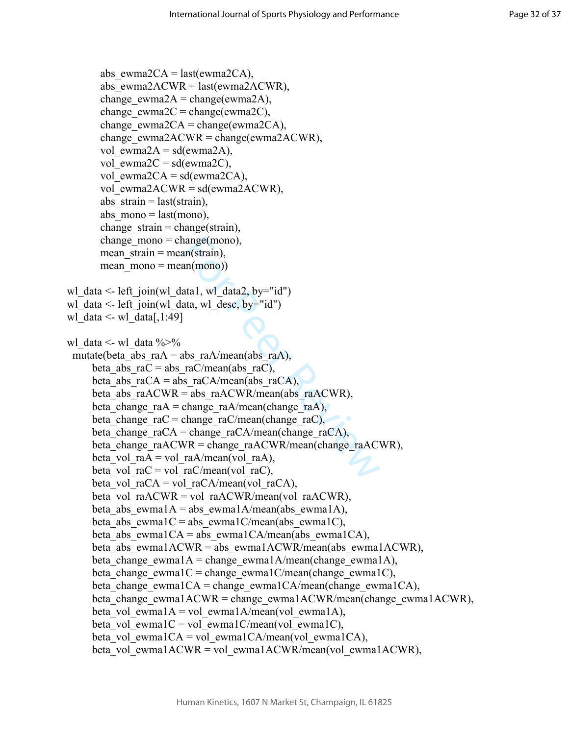```
nange(mono),<br>
an(strain),<br>
an(mono))<br>
ata1, wl_data2, by="id")<br>
ata, wl_desc, by="id")<br>
ata, wl_desc, by="id")<br>
bbs_raA/mean(abs_raA),<br>
s_raCA/mean(abs_raCA),<br>
= abs_raACWR/mean(abs_raACWR),<br>
change_raA/mean(change_raA),<br>

       abs ewma2CA = last(ewma2CA),abs ewma2ACWR = last(ewma2ACWR),
       change ewma2A = change(ewma2A),
       change ewma2C = change(ewma2C),
       change ewma2CA = change(ewma2CA),
       change_ewma2ACWR = change(ewma2ACWR),
       vol ewma2A = sd(ewma2A),
       vol ewma2C = sd(ewma2C),
       vol ewma2CA = sd(ewma2CA),vol_ewma2ACWR = sd(ewma2ACWR),
       abs strain = last(strain),
       abs mono = last(mono),
       change strain = change(strain),
       change mono = change(mono),
       mean strain = mean(strain),
       mean mono = mean(mono))
wl_data <- left_join(wl_data1, wl_data2, by="id")
wl_data <- left_join(wl_data, wl_desc, by="id")
wl data \le- wl data[,1:49]
wl_data <- wl_data %>%
 mutate(beta abs raA = abs raA/mean(abs raA),
     beta abs raC = abs\,raC/mean(abs\,raC),
     beta abs raCA = abs\,raCA/mean(abs\,raCA),
     beta abs raACWR = abs raACWR/mean(abs raACWR),
     beta change \text{raA} = \text{change } \text{raA/mean}(\text{change } \text{raA}),beta change raC = change\,raC/mean(change\,raC),
     beta change racA = change\ racA/mean(change\ racA),
     beta change \text{raACWR} = \text{change} \text{raACWR}/\text{mean}(\text{change} \text{raACWR}),
     beta vol raA = vol raA/mean(vol raA),
     beta vol raC = vol raC/mean(vol raC),
     beta vol raCA = vol raCA/mean(vol raCA),
     beta vol raACWR = vol raACWR/mean(vol raACWR),
     beta abs ewma1A = abs ewma1A/mean(abs ewma1A),
     beta abs ewma1C = absewma1C/mean(absewma1C),
     beta abs ewma1CA = abs ewma1CA/mean(abs ewma1CA),
     beta abs ewma1ACWR = absewma1ACWR/mean(absewma1ACWR),
     beta change ewma1A = change ewma1A/mean(change ewma1A),
     beta change ewma1C = change ewma1C/mean(change ewma1C),
     beta change ewma1CA = change ewma1CA/mean(change ewma1CA),
     beta change ewma1ACWR = change_ewma1ACWR/mean(change_ewma1ACWR),
     beta vol ewma1A = vol ewma1A/mean(vol ewma1A),
     beta vol ewma1C = vol ewma1C/mean(vol ewma1C),
     beta vol ewma1CA = vol ewma1CA/mean(vol ewma1CA),
     beta vol ewma1ACWR = vol ewma1ACWR/mean(vol ewma1ACWR),
```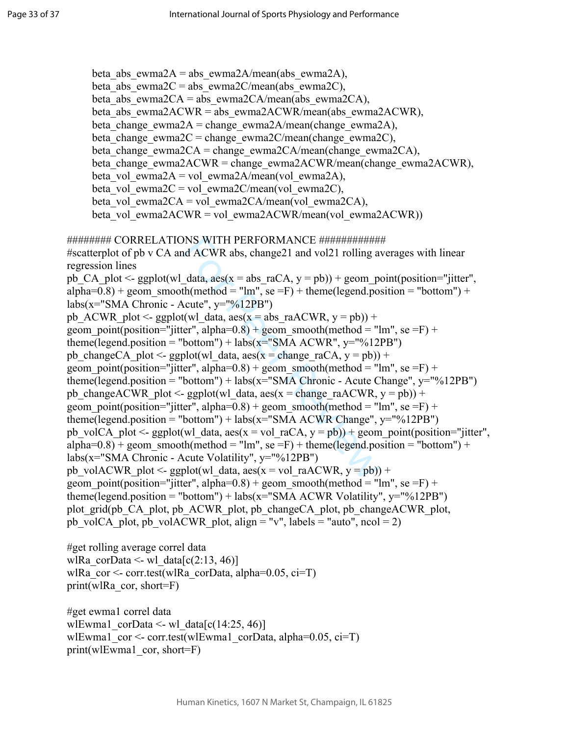```
For Peer Review
     beta abs ewma2A = abs ewma2A/mean(abs ewma2A),
     beta abs ewma2C = absewma2C/mean(absewma2C),
     beta abs ewma2CA = abs ewma2CA/mean(abs ewma2CA),
     beta abs ewma2ACWR = absewma2ACWR/mean(absewma2ACWR),beta change ewma2A = change ewma2A/mean(change ewma2A),
     beta change ewma2C = change ewma2C/mean(change ewma2C),
     beta change ewma2CA = change ewma2CA/mean(change ewma2CA),
     beta change ewma2ACWR = change ewma2ACWR/mean(change ewma2ACWR),
     beta vol ewma2A = vol ewma2A/mean(vol ewma2A),
     beta vol ewma2C = vol ewma2C/mean(vol ewma2C),
     beta vol ewma2CA = vol ewma2CA/mean(vol ewma2CA),
     beta vol ewma2ACWR = vol ewma2ACWR/mean(vol ewma2ACWR))
######## CORRELATIONS WITH PERFORMANCE ############
#scatterplot of pb v CA and ACWR abs, change21 and vol21 rolling averages with linear 
regression lines
pb_CA_plot <- ggplot(wl_data, aes(x = abs_raCA, y = pb)) + geom_point(position="jitter",
alpha=0.8) + geom_smooth(method = "lm", se =F) + theme(legend.position = "bottom") +
labs(x="SMA Chronic - Acute", y="%12PB")
pb_ACWR_plot <- ggplot(wl_data, aes(x = abs_raACWR, y = pb)) +
geom_point(position="jitter", alpha=0.8) + geom_smooth(method = "lm", se =F) +
theme(legend.position = "bottom") + labs(x="SMA ACWR", y="%12PB")
pb_changeCA_plot <- ggplot(wl_data, aes(x = change_raCA, y = pb)) +
geom_point(position="jitter", alpha=0.8) + geom_smooth(method = "lm", se =F) +
theme(legend.position = "bottom") + labs(x ="SMA Chronic - Acute Change", y ="%12PB")
pb_changeACWR_plot <- ggplot(wl_data, aes(x = change_raACWR, y = pb)) +
geom_point(position="jitter", alpha=0.8) + geom_smooth(method = "lm", se =F) +
theme(legend.position = "bottom") + labs(x="SMA ACWR Change", y="%12PB")
pb_volCA_plot <- ggplot(wl_data, aes(x = vol_raCA, y = pb)) + geom_point(position="jitter",
alpha=0.8) + geom smooth(method = "lm", se =F) + theme(legend.position = "bottom") +
labs(x="SMA Chronic - Acute Volatility", y="%12PB")
pb_volACWR_plot <- ggplot(wl_data, aes(x = vol_raACWR, y = pb)) +
geom_point(position="jitter", alpha=0.8) + geom_smooth(method = "lm", se =F) +
theme(legend.position = "bottom") + labs(x="SMA ACWR Volatility", y="%12PB")
plot grid(pb_CA_plot, pb_ACWR_plot, pb_changeCA_plot, pb_changeACWR_plot,
pb_volCA_plot, pb_volACWR_plot, align = "v", labels = "auto", ncol = 2)
#get rolling average correl data
```

```
wlRa corData \leq wl data[c(2:13, 46)]
wlRa \text{cor} < \text{corr.test}(\text{w} \geq \text{corData}, \text{alpha=0.05}, \text{ci}=T)print(wlRa cor, short=F)
```

```
#get ewma1 correl data
wlEwma1_corData <- wl_data[c(14:25, 46)]
wlEwma1_cor <- corr.test(wlEwma1_corData, alpha=0.05, ci=T)
print(wlEwma1_cor, short=F)
```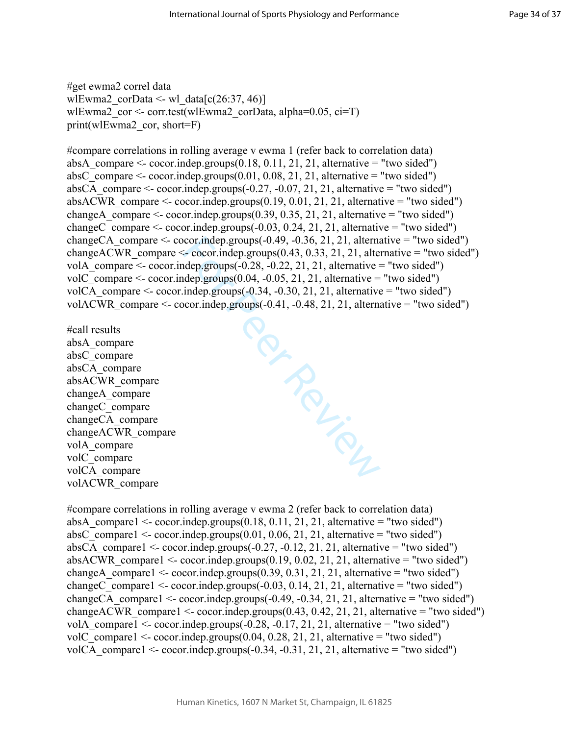#get ewma2 correl data wlEwma2  $\text{corData} \leq \text{wl data}[\text{c}(26:37, 46)]$ wlEwma2\_cor <- corr.test(wlEwma2\_corData, alpha=0.05, ci=T) print(wlEwma2\_cor, short=F)

**PRANCE** #compare correlations in rolling average v ewma 1 (refer back to correlation data) absA\_compare <- cocor.indep.groups $(0.18, 0.11, 21, 21,$  alternative = "two sided") absC\_compare <- cocor.indep.groups $(0.01, 0.08, 21, 21,$  alternative = "two sided") absCA\_compare <- cocor.indep.groups(-0.27, -0.07, 21, 21, alternative = "two sided") absACWR compare  $\leq$  cocor.indep.groups $(0.19, 0.01, 21, 21,$  alternative = "two sided") changeA compare <- cocor.indep.groups $(0.39, 0.35, 21, 21,$  alternative = "two sided") changeC\_compare <- cocor.indep.groups $(-0.03, 0.24, 21, 21,$  alternative = "two sided") changeCA compare  $\leq$  cocor.indep.groups(-0.49, -0.36, 21, 21, alternative = "two sided") changeACWR\_compare <- cocor.indep.groups $(0.43, 0.33, 21, 21,$  alternative = "two sided") volA compare  $\le$  cocor.indep.groups(-0.28, -0.22, 21, 21, alternative = "two sided") volC\_compare <- cocor.indep.groups $(0.04, -0.05, 21, 21,$  alternative = "two sided") volCA compare  $\leq$  cocor.indep.groups(-0.34, -0.30, 21, 21, alternative = "two sided") volACWR compare  $\leq$  cocor.indep.groups(-0.41, -0.48, 21, 21, alternative = "two sided")

#call results absA\_compare absC\_compare absCA\_compare absACWR\_compare changeA\_compare changeC\_compare changeCA\_compare changeACWR\_compare volA\_compare volC\_compare volCA\_compare volACWR\_compare

#compare correlations in rolling average v ewma 2 (refer back to correlation data) absA\_compare1 <- cocor.indep.groups $(0.18, 0.11, 21, 21,$  alternative = "two sided") absC\_compare1 <- cocor.indep.groups $(0.01, 0.06, 21, 21,$  alternative = "two sided") absCA compare1 <- cocor.indep.groups(-0.27, -0.12, 21, 21, alternative = "two sided") absACWR\_compare1 <- cocor.indep.groups $(0.19, 0.02, 21, 21,$  alternative = "two sided") changeA\_compare1 <- cocor.indep.groups $(0.39, 0.31, 21, 21,$  alternative = "two sided") changeC\_compare1 <- cocor.indep.groups(-0.03, 0.14, 21, 21, alternative = "two sided") changeCA compare1 <- cocor.indep.groups(-0.49, -0.34, 21, 21, alternative = "two sided") changeACWR\_compare1 <- cocor.indep.groups $(0.43, 0.42, 21, 21,$  alternative = "two sided") volA compare1 <- cocor.indep.groups $(-0.28, -0.17, 21, 21,$  alternative = "two sided") volC\_compare1 <- cocor.indep.groups $(0.04, 0.28, 21, 21,$  alternative = "two sided") volCA compare1 <- cocor.indep.groups( $-0.34, -0.31, 21, 21$ , alternative = "two sided")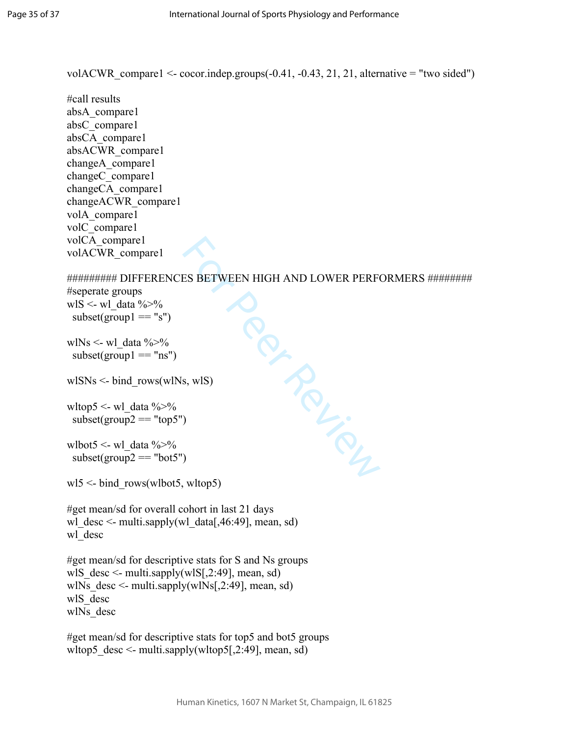volACWR\_compare1  $\le$  cocor.indep.groups(-0.41, -0.43, 21, 21, alternative = "two sided")

#call results absA\_compare1 absC\_compare1 absCA\_compare1 absACWR\_compare1 changeA\_compare1 changeC\_compare1 changeCA\_compare1 changeACWR\_compare1 volA\_compare1 volC\_compare1 volCA\_compare1 volACWR\_compare1

# Per Review ######### DIFFERENCES BETWEEN HIGH AND LOWER PERFORMERS ######## #seperate groups wlS <- wl\_data  $\%>^0\!\!/_{\!0}$

```
subset(group1 == "s")
```

```
wlNs <- wl_data %>%
 subset(group1 == "ns")
```

```
wISNs <- bind rows(wlNs, wlS)
```

```
wltop5 \leq- wl_data %>%
 subset(group2 == "top5")
```

```
wlbot5 <- wl_data %>%
 subset(group2 == "bot5")
```

```
wl5 \le- bind rows(wlbot5, wltop5)
```

```
#get mean/sd for overall cohort in last 21 days
wl_desc <- multi.sapply(wl_data[,46:49], mean, sd)
wl desc
```

```
#get mean/sd for descriptive stats for S and Ns groups
wlS desc <- multi.sapply(wlS[,2:49], mean, sd)
wlNs desc < \text{multi.sapply}(wlNs[2:49], \text{mean}, sd)wlS desc
wlNs desc
```

```
#get mean/sd for descriptive stats for top5 and bot5 groups
wltop5_desc <- multi.sapply(wltop5[,2:49], mean, sd)
```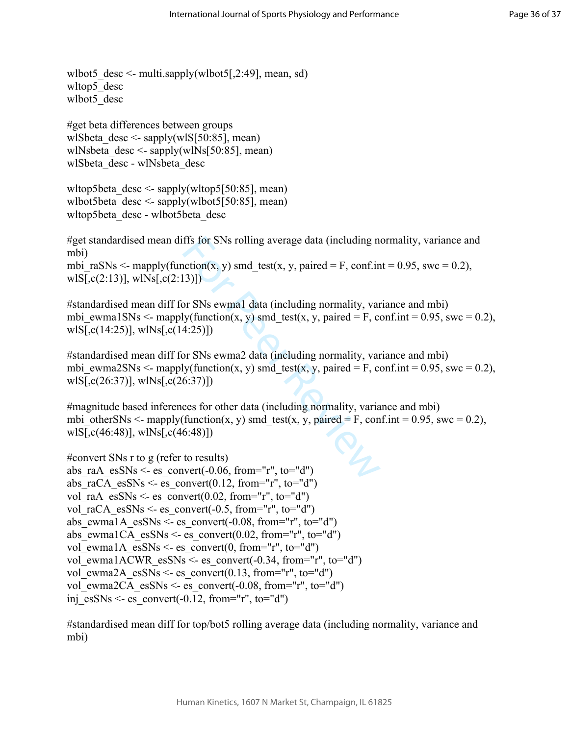wlbot5\_desc <- multi.sapply(wlbot5[,2:49], mean, sd) wltop5 desc wlbot5 desc

#get beta differences between groups wlSbeta  $desc <$ - sapply(wlS[50:85], mean) wlNsbeta\_desc <- sapply(wlNs[50:85], mean) wlSbeta\_desc - wlNsbeta\_desc

wltop5beta\_desc <- sapply(wltop5[50:85], mean) wlbot5beta\_desc <- sapply(wlbot5[50:85], mean) wltop5beta\_desc - wlbot5beta\_desc

#get standardised mean diffs for SNs rolling average data (including normality, variance and mbi)

mbi\_raSNs <- mapply(function(x, y) smd\_test(x, y, paired = F, conf.int = 0.95, swc = 0.2),  $WIS[$ ,c(2:13)],  $WINS[$ ,c(2:13)])

#standardised mean diff for SNs ewma1 data (including normality, variance and mbi) mbi\_ewma1SNs <- mapply(function(x, y) smd\_test(x, y, paired = F, conf.int = 0.95, swc = 0.2), wlS[,c(14:25)], wlNs[,c(14:25)])

ffs for SNs rolling average data (including no<br>
nction(x, y) smd\_test(x, y, paired = F, conf.in<br>
(3)])<br>
or SNs ewma1 data (including normality, var<br>
ly(function(x, y) smd\_test(x, y, paired = F, co<br>
4:25)])<br>
or SNs ewma2 d #standardised mean diff for SNs ewma2 data (including normality, variance and mbi) mbi\_ewma2SNs <- mapply(function(x, y) smd\_test(x, y, paired = F, conf.int = 0.95, swc = 0.2), wlS[, $c(26:37)$ ], wlNs[, $c(26:37)$ ])

#magnitude based inferences for other data (including normality, variance and mbi) mbi\_otherSNs <- mapply(function(x, y) smd\_test(x, y, paired = F, conf.int = 0.95, swc = 0.2), wlS[,c(46:48)], wlNs[,c(46:48)])

```
#convert SNs r to g (refer to results)
abs raA_esSNs <- es_convert(-0.06, from="r", to="d")
abs raCA_esSNs <- es_convert(0.12, from="r", to="d")
vol_raA_esSNs <- es_convert(0.02, from="r", to="d")
vol raCA esSNs <- es convert(-0.5, from="r", to="d")
abs_ewma1A_esSNs <- es_convert(-0.08, from="r", to="d")
abs_ewma1CA_esSNs <- es_convert(0.02, from="r", to="d")
vol_ewma1A_esSNs <- es_convert(0, from="r", to="d")vol_ewma1ACWR_esSNs <- es_convert(-0.34, from="r", to="d")
vol_ewma2A_esSNs <- es_convert(0.13, from="r", to="d")
vol_ewma2CA_esSNs <- es_convert(-0.08, from="r", to="d")
inj_esSNs <- es_convert(-0.12, from="r", to="d")
```
#standardised mean diff for top/bot5 rolling average data (including normality, variance and mbi)